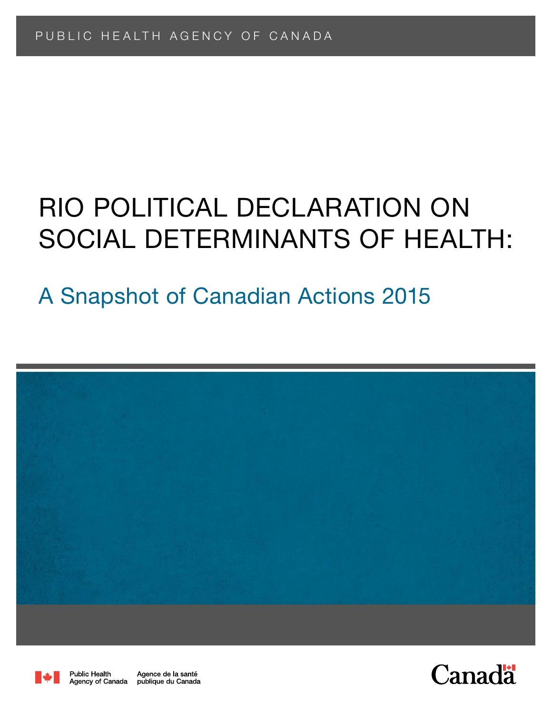# RIO POLITICAL DECLA SOCIAL DETERMINANTS OF HEALTH: Rio Political Declaration on

# A Snapshot of Canadian Actions 2015





Public Health Agence de la santé Agency of Canada publique du Canada

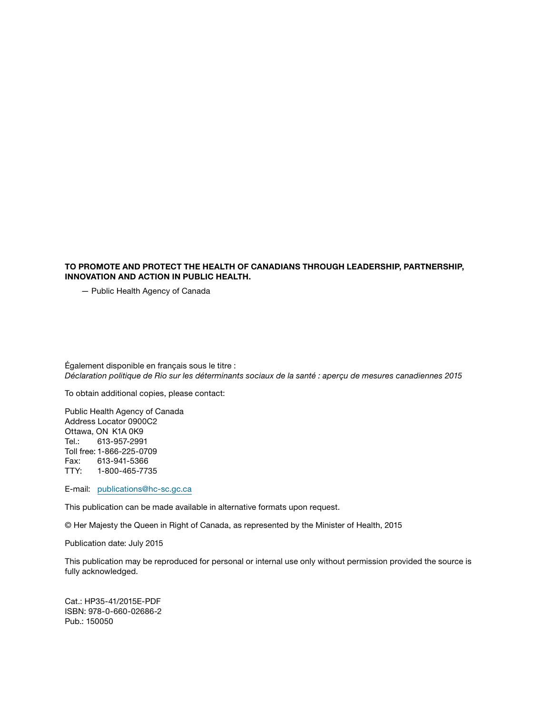#### TO PROMOTE AND PROTECT THE HEALTH OF CANADIANS THROUGH LEADERSHIP, PARTNERSHIP, INNOVATION AND ACTION IN PUBLIC HEALTH.

— Public Health Agency of Canada

Également disponible en français sous le titre : *Déclaration politique de Rio sur les déterminants sociaux de la santé : aperçu de mesures canadiennes 2015*

To obtain additional copies, please contact:

Public Health Agency of Canada Address Locator 0900C2 Ottawa, ON K1A 0K9 Tel.: 613-957-2991 Toll free: 1-866-225-0709 Fax: 613-941-5366 TTY: 1-800-465-7735

E-mail: [publications@hc-sc.gc.ca](mailto:publications%40hc-sc.gc.ca?subject=)

This publication can be made available in alternative formats upon request.

© Her Majesty the Queen in Right of Canada, as represented by the Minister of Health, 2015

Publication date: July 2015

This publication may be reproduced for personal or internal use only without permission provided the source is fully acknowledged.

Cat.: HP35-41/2015E-PDF ISBN: 978-0-660-02686-2 Pub.: 150050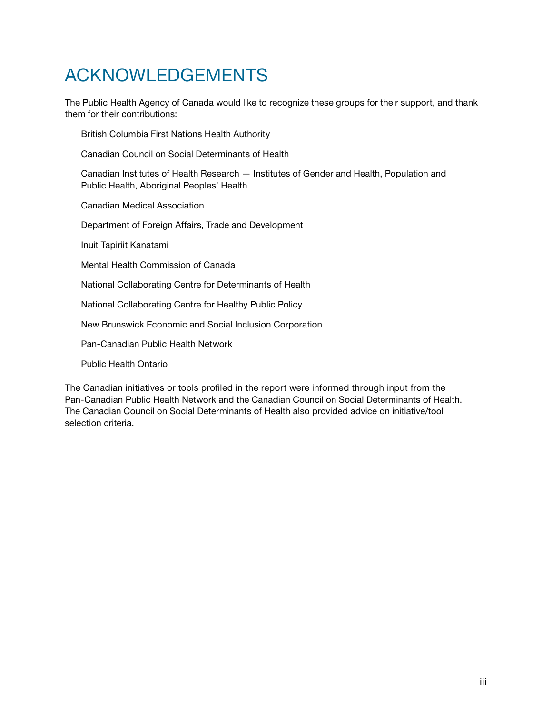## ACKNOWLEDGEMENTS

The Public Health Agency of Canada would like to recognize these groups for their support, and thank them for their contributions:

British Columbia First Nations Health Authority

Canadian Council on Social Determinants of Health

Canadian Institutes of Health Research — Institutes of Gender and Health, Population and Public Health, Aboriginal Peoples' Health

Canadian Medical Association

Department of Foreign Affairs, Trade and Development

Inuit Tapiriit Kanatami

Mental Health Commission of Canada

National Collaborating Centre for Determinants of Health

National Collaborating Centre for Healthy Public Policy

New Brunswick Economic and Social Inclusion Corporation

Pan-Canadian Public Health Network

Public Health Ontario

The Canadian initiatives or tools profiled in the report were informed through input from the Pan‑Canadian Public Health Network and the Canadian Council on Social Determinants of Health. The Canadian Council on Social Determinants of Health also provided advice on initiative/tool selection criteria.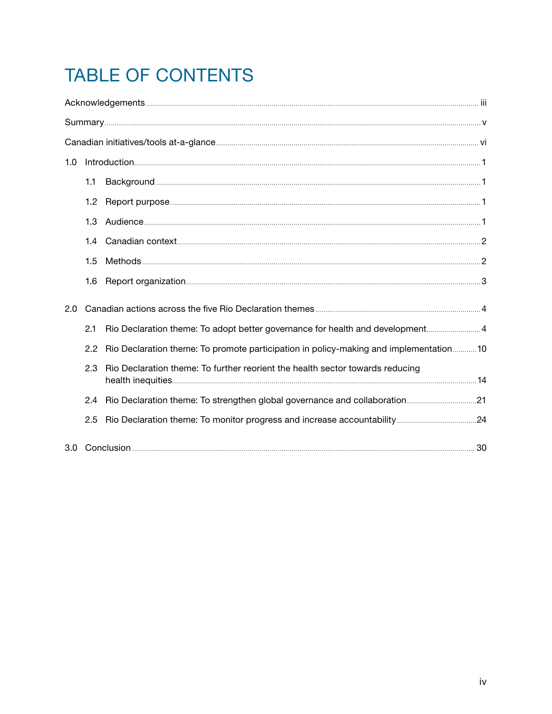## TABLE OF CONTENTS

| 1.0 |                  |                                                                                       |  |  |
|-----|------------------|---------------------------------------------------------------------------------------|--|--|
|     | 1.1              |                                                                                       |  |  |
|     | 1.2 <sub>1</sub> |                                                                                       |  |  |
|     | 1.3              |                                                                                       |  |  |
|     | $1.4^{\circ}$    |                                                                                       |  |  |
|     | 1.5              |                                                                                       |  |  |
|     | 1.6              |                                                                                       |  |  |
| 2.0 |                  |                                                                                       |  |  |
|     | 2.1              | Rio Declaration theme: To adopt better governance for health and development4         |  |  |
|     | $2.2^{\circ}$    | Rio Declaration theme: To promote participation in policy-making and implementation10 |  |  |
|     | 2.3              | Rio Declaration theme: To further reorient the health sector towards reducing         |  |  |
|     | 2.4              |                                                                                       |  |  |
|     | 2.5              |                                                                                       |  |  |
|     |                  |                                                                                       |  |  |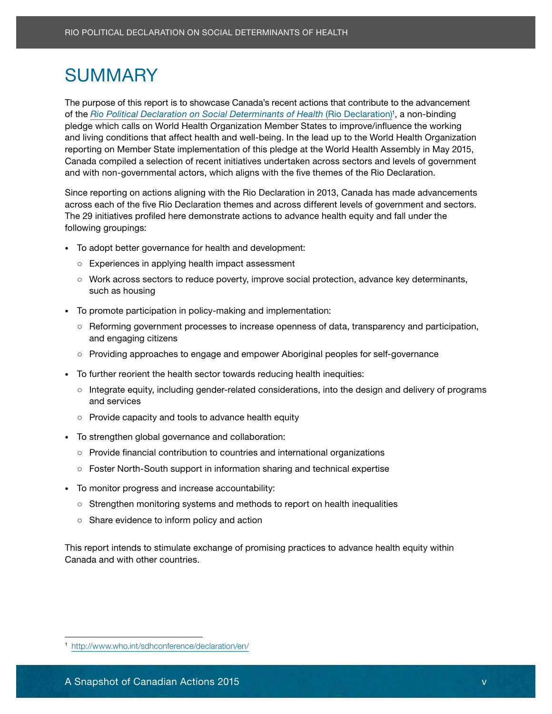## SUMMARY

of the *Rio Political Declaration on Social Determinants of Health* (Rio Declaration)<sup>1</sup>, a non-binding pledge which calls on World Health Organization Member States to improve/influence the working and living conditions that affect health and well-being. In the lead up to the World Health Organization reporting on Member State implementation of this pledge at the World Health Assembly in May 2015, Canada compiled a selection of recent initiatives undertaken across sectors and levels of government and with non-governmental actors, which aligns with the five themes of the Rio Declaration. Are the control of Canadian Actions 2015 variable including the control of Canadian Actions 2015<br>
A SNAP The purpose of the request to be observed Canadian recent actions that contribute to the actions control<br>
Action Cana The purpose of this report is to showcase Canada's recent actions that contribute to the advancement

adipiscing elit. Sed elit quam, lacinia eu viverra sed, pretium pharetra diam. across each of the five Rio Declaration themes and across different levels of government and sectors.<br>— The 29 initiatives profiled here demonstrate actions to advance health equity and fall under the following groupings: when the control of the control of the control of the control of the control of the control of the control of the control of the control of the control of the control of the control of the control of t Since reporting on actions aligning with the Rio Declaration in 2013, Canada has made advancements

- To adopt better governance for health and development:
- Experiences in applying health impact assessment
- Work across sectors to reduce poverty, improve social protection, advance key determinants, such as housing. Nunc justo ipsum, aliquam ut pharetra at, vehicula sodales erat. Nunc justo ipsum, aliquam ut p
- Phasellus ultrices tristique lectus molestie eleifend. Aliquam luctus massa nec nunc porttitor • To promote participation in policy-making and implementation:
- and engaging citizens adipiscing aliquam. Nullam pellentes que nibh nec ligula mollis mollis mollis mollis mol ○ Reforming government processes to increase openness of data, transparency and participation,
- Providing approaches to engage and empower Aboriginal peoples for self-governance
- To further reorient the health sector towards reducing health inequities:
- Integrate equity, including gender-related considerations, into the design and delivery of programs and services **ante turpis equation** in vel risus, in vel risus. Integritation of the services and services and services
- ornare eget placerat tortor ultricies. Nulla vel sem neque, in sagittis leo. Ut aliquet rhoncus  $\circ$  Provide capacity and tools to advance health equity
- To strengthen global governance and collaboration:
- Provide financial contribution to countries and international organizations
- Foster North-South support in information sharing and technical expertise
- $\tau$  requires nuncere and incurrent approximately. The magnitude  $\tau$ • To monitor progress and increase accountability:
- Strengthen monitoring systems and methods to report on health inequalities
	- Share evidence to inform policy and action

This report intends to stimulate exchange of promising practices to advance health equity within Canada and with other countries.

<sup>1</sup> http://www.who.int/sdhconference/declaration/en/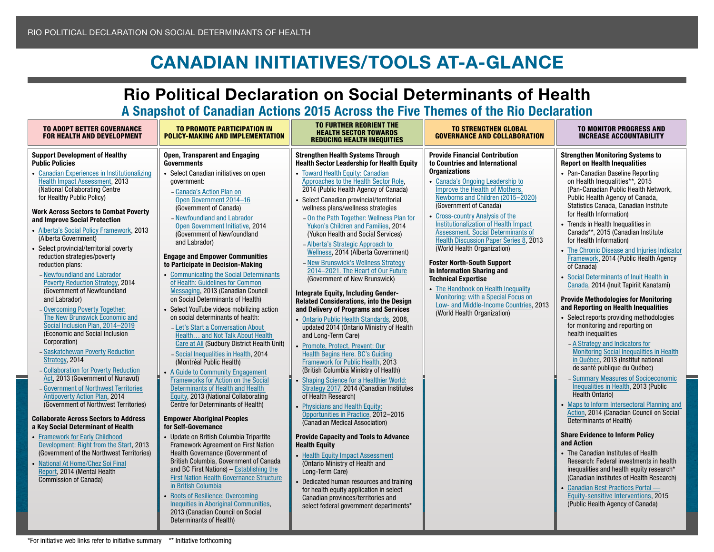## CANADIAN INITIATIVES/TOOLS AT-A-GLAN

## Rio Political Declaration on Social Determinants of Health A Snapshot of Canadian Actions 2015 Across the Five Themes of the Rio Declaration

<span id="page-5-0"></span>

| <b>Provide Financial Contribution</b><br><b>Support Development of Healthy</b><br><b>Open, Transparent and Engaging</b><br><b>Strengthen Health Systems Through</b><br><b>Strengthen Monitoring Systems to</b><br><b>Report on Health Inequalities</b><br><b>Public Policies</b><br><b>Governments</b><br><b>Health Sector Leadership for Health Equity</b><br>to Countries and International<br><b>Organizations</b><br>• Toward Health Equity: Canadian<br>• Pan-Canadian Baseline Reporting<br><b>Canadian Experiences in Institutionalizing</b><br>• Select Canadian initiatives on open<br>Health Impact Assessment, 2013<br>Approaches to the Health Sector Role,<br>• Canada's Ongoing Leadership to<br>on Health Inequalities**, 2015<br>government:<br>(National Collaborating Centre<br>2014 (Public Health Agency of Canada)<br>Improve the Health of Mothers,<br>(Pan-Canadian Public Health Network,<br>- Canada's Action Plan on<br>Newborns and Children (2015-2020)<br>for Healthy Public Policy)<br>Public Health Agency of Canada,<br>Open Government 2014-16<br>Select Canadian provincial/territorial<br>(Government of Canada)<br>Statistics Canada, Canadian Institute<br>(Government of Canada)<br>wellness plans/wellness strategies<br>Work Across Sectors to Combat Poverty<br>for Health Information)<br>• Cross-country Analysis of the<br>- Newfoundland and Labrador<br>- On the Path Together: Wellness Plan for<br>and Improve Social Protection<br><b>Institutionalization of Health Impact</b><br>• Trends in Health Inequalities in<br>Yukon's Children and Families, 2014<br>Open Government Initiative, 2014<br>Alberta's Social Policy Framework, 2013<br>Assessment. Social Determinants of<br>Canada**, 2015 (Canadian Institute<br>(Government of Newfoundland<br>(Yukon Health and Social Services)<br>(Alberta Government)<br>Health Discussion Paper Series 8, 2013<br>for Health Information)<br>and Labrador)<br>- Alberta's Strategic Approach to<br>Select provincial/territorial poverty<br>(World Health Organization)<br>Wellness, 2014 (Alberta Government)<br><b>Engage and Empower Communities</b><br>reduction strategies/poverty<br>Framework, 2014 (Public Health Agency<br><b>Foster North-South Support</b><br>- New Brunswick's Wellness Strategy<br>to Participate in Decision-Making<br>reduction plans:<br>of Canada)<br>2014-2021. The Heart of Our Future<br>in Information Sharing and<br>• Communicating the Social Determinants<br>- Newfoundland and Labrador<br>• Social Determinants of Inuit Health in<br>(Government of New Brunswick)<br><b>Technical Expertise</b><br>of Health: Guidelines for Common<br><b>Poverty Reduction Strategy, 2014</b><br>Canada, 2014 (Inuit Tapiriit Kanatami)<br>• The Handbook on Health Inequality<br>(Government of Newfoundland<br>Messaging, 2013 (Canadian Council<br>Integrate Equity, Including Gender-<br>Monitoring: with a Special Focus on<br>on Social Determinants of Health)<br><b>Provide Methodologies for Monitoring</b><br>and Labrador)<br><b>Related Considerations, into the Design</b><br>Low- and Middle-Income Countries, 2013<br>and Reporting on Health Inequalities<br>and Delivery of Programs and Services<br>- Overcoming Poverty Together:<br>Select YouTube videos mobilizing action<br>(World Health Organization)<br>The New Brunswick Economic and<br>• Select reports providing methodologies<br>on social determinants of health:<br>• Ontario Public Health Standards, 2008,<br>Social Inclusion Plan, 2014-2019<br>for monitoring and reporting on<br>- Let's Start a Conversation About<br>updated 2014 (Ontario Ministry of Health<br>(Economic and Social Inclusion<br>health inequalities<br>and Long-Term Care)<br>Health and Not Talk About Health<br>Corporation)<br>Care at All (Sudbury District Health Unit)<br>- A Strategy and Indicators for<br>Promote, Protect, Prevent: Our<br>- Saskatchewan Poverty Reduction<br>- Social Inequalities in Health, 2014<br><b>Health Begins Here. BC's Guiding</b><br>in Québec, 2013 (Institut national<br>Strategy, 2014<br>(Montréal Public Health)<br>Framework for Public Health, 2013<br>de santé publique du Québec)<br>- Collaboration for Poverty Reduction<br>(British Columbia Ministry of Health)<br>• A Guide to Community Engagement<br>- Summary Measures of Socioeconomic<br>Act, 2013 (Government of Nunavut)<br>Frameworks for Action on the Social<br><b>Shaping Science for a Healthier World:</b><br>Inequalities in Health, 2013 (Public<br>- Government of Northwest Territories<br><b>Determinants of Health and Health</b><br>Strategy 2017, 2014 (Canadian Institutes<br><b>Health Ontario)</b><br>Antipoverty Action Plan, 2014<br>Equity, 2013 (National Collaborating<br>of Health Research)<br>(Government of Northwest Territories)<br>Centre for Determinants of Health)<br><b>Physicians and Health Equity:</b><br>Opportunities in Practice, 2012-2015<br><b>Collaborate Across Sectors to Address</b><br><b>Empower Aboriginal Peoples</b><br>Determinants of Health)<br>(Canadian Medical Association)<br>for Self-Governance<br>a Key Social Determinant of Health<br><b>Share Evidence to Inform Policy</b><br>• Framework for Early Childhood<br>• Update on British Columbia Tripartite<br><b>Provide Capacity and Tools to Advance</b><br>and Action<br>Development: Right from the Start, 2013<br><b>Framework Agreement on First Nation</b><br><b>Health Equity</b><br>• The Canadian Institutes of Health<br>(Government of the Northwest Territories)<br>Health Governance (Government of<br>• Health Equity Impact Assessment | <b>TO ADOPT BETTER GOVERNANCE</b><br><b>FOR HEALTH AND DEVELOPMENT</b> | <b>TO PROMOTE PARTICIPATION IN</b><br><b>POLICY-MAKING AND IMPLEMENTATION</b> | <b>TO FURTHER REORIENT THE</b><br><b>HEALTH SECTOR TOWARDS</b><br><b>REDUCING HEALTH INEQUITIES</b> | <b>TO STRENGTHEN GLOBAL</b><br><b>GOVERNANCE AND COLLABORATION</b> | <b>TO MONITOR PROGRESS AND</b><br><b>INCREASE ACCOUNTABILITY</b>                                                                                                                                                                      |
|-------------------------------------------------------------------------------------------------------------------------------------------------------------------------------------------------------------------------------------------------------------------------------------------------------------------------------------------------------------------------------------------------------------------------------------------------------------------------------------------------------------------------------------------------------------------------------------------------------------------------------------------------------------------------------------------------------------------------------------------------------------------------------------------------------------------------------------------------------------------------------------------------------------------------------------------------------------------------------------------------------------------------------------------------------------------------------------------------------------------------------------------------------------------------------------------------------------------------------------------------------------------------------------------------------------------------------------------------------------------------------------------------------------------------------------------------------------------------------------------------------------------------------------------------------------------------------------------------------------------------------------------------------------------------------------------------------------------------------------------------------------------------------------------------------------------------------------------------------------------------------------------------------------------------------------------------------------------------------------------------------------------------------------------------------------------------------------------------------------------------------------------------------------------------------------------------------------------------------------------------------------------------------------------------------------------------------------------------------------------------------------------------------------------------------------------------------------------------------------------------------------------------------------------------------------------------------------------------------------------------------------------------------------------------------------------------------------------------------------------------------------------------------------------------------------------------------------------------------------------------------------------------------------------------------------------------------------------------------------------------------------------------------------------------------------------------------------------------------------------------------------------------------------------------------------------------------------------------------------------------------------------------------------------------------------------------------------------------------------------------------------------------------------------------------------------------------------------------------------------------------------------------------------------------------------------------------------------------------------------------------------------------------------------------------------------------------------------------------------------------------------------------------------------------------------------------------------------------------------------------------------------------------------------------------------------------------------------------------------------------------------------------------------------------------------------------------------------------------------------------------------------------------------------------------------------------------------------------------------------------------------------------------------------------------------------------------------------------------------------------------------------------------------------------------------------------------------------------------------------------------------------------------------------------------------------------------------------------------------------------------------------------------------------------------------------------------------------------------------------------------------------------------------------------------------------------------------------------------------------------------------------------------------------------------------------------------------------------------------------------------------------------------------------------------------------------------------------------------------------------------------------------------------------------------------------------------------------------------------------------------------------------------------------------------------------------------------------------------------------------------------------------------------------------------------------------------------------------------------------------------------------------------------------------------------------------------------------------------------------------------------------------------------------------------|------------------------------------------------------------------------|-------------------------------------------------------------------------------|-----------------------------------------------------------------------------------------------------|--------------------------------------------------------------------|---------------------------------------------------------------------------------------------------------------------------------------------------------------------------------------------------------------------------------------|
| and BC First Nations) - Establishing the<br>inequalities and health equity research*<br>Long-Term Care)<br>Report, 2014 (Mental Health<br><b>First Nation Health Governance Structure</b><br>(Canadian Institutes of Health Research)<br>Commission of Canada)<br>Dedicated human resources and training<br>in British Columbia<br>• Canadian Best Practices Portal -<br>for health equity application in select<br><b>Roots of Resilience: Overcoming</b><br>Equity-sensitive Interventions, 2015<br>Canadian provinces/territories and<br>Inequities in Aboriginal Communities,<br>(Public Health Agency of Canada)<br>select federal government departments*<br>2013 (Canadian Council on Social<br>Determinants of Health)                                                                                                                                                                                                                                                                                                                                                                                                                                                                                                                                                                                                                                                                                                                                                                                                                                                                                                                                                                                                                                                                                                                                                                                                                                                                                                                                                                                                                                                                                                                                                                                                                                                                                                                                                                                                                                                                                                                                                                                                                                                                                                                                                                                                                                                                                                                                                                                                                                                                                                                                                                                                                                                                                                                                                                                                                                                                                                                                                                                                                                                                                                                                                                                                                                                                                                                                                                                                                                                                                                                                                                                                                                                                                                                                                                                                                                                                                                                                                                                                                                                                                                                                                                                                                                                                                                                                                                                                                                                                                                                                                                                                                                                                                                                                                                                                                                                                                                                                                | National At Home/Chez Soi Final                                        | British Columbia, Government of Canada                                        | (Ontario Ministry of Health and                                                                     |                                                                    | • The Chronic Disease and Injuries Indicator<br><b>Monitoring Social Inequalities in Health</b><br>• Maps to Inform Intersectoral Planning and<br>Action, 2014 (Canadian Council on Social<br>Research: Federal investments in health |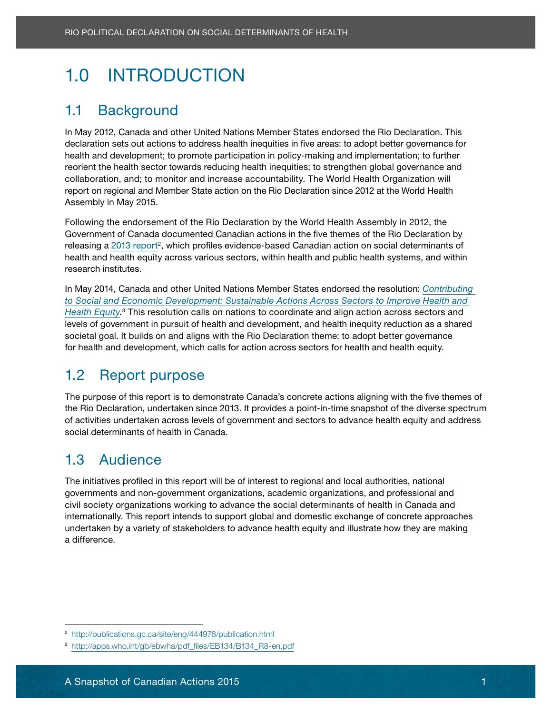# <span id="page-6-0"></span>1.0 INTRODUCTION

### <span id="page-6-1"></span>1.1 Background and sit amethy adipiscing eliterature adipiscing eliterature adipiscing eliterature adipiscing e

In May 2012, Canada and other United Nations Member States endorsed the Rio Declaration. This orci tortor, Ganaua anu cunei cinieu Nauchs Member States enucliseu the Hic Declaration. This<br>In the consequent in the consequent in the consequent in the consequent in the consequent in the consequent of declaration sets out actions to address health inequities in five areas: to adopt better governance for<br>declaration sets out actions to address health inequities in five areas: to adopt better governance for nealth and development, to promote participation in policy-making and implementation, to further<br>reorient the health sector towards reducing health inequities; to strengthen global governance and rechent the health sector towards reducing health inequities, to strengthen global governance and<br>collaboration, and; to monitor and increase accountability. The World Health Organization will collaboration, and, to monitor and increase accountability. The world Health Organization will<br>report on regional and Member State action on the Rio Declaration since 2012 at the World Health Producting minutes at electron. High Canadian Actions 2013 Rio Political Determinants of Health May 2012, Canada and other United Nations Member States endo<br>
Analy 2012, Canada and other United Nations Member States endo<br>
declaration sets out actions to health and development; to promote participation in policy-making and implementation; to further Assembly in May 2015.

Following the endorsement of the Rio Declaration by the World Health Assembly in 2012, the Government of Canada documented Canadian actions in the five themes of the Rio Declaration by releasing a 2013 report<sup>2</sup>, which profiles evidence-based Canadian action on social determinants of research institutes. **Exercise aliquam. Ut ultrices imperators** in personalidate unit un terminale unit un exerci health and health equity across various sectors, within health and public health systems, and within

In May 2014, Canada and other United Nations Member States endorsed the resolution: *Contributing* to Social and Economic Development: Sustainable Actions Across Sectors to Improve Health and [Health Equity.](http://apps.who.int/gb/ebwha/pdf_files/EB134/B134_R8-en.pdf)<sup>3</sup> This resolution calls on nations to coordinate and align action across sectors and societal goal. It builds on and aligns with the Rio Declaration theme: to adopt better governance for health and development, which calls for action across sectors for health and health equity. levels of government in pursuit of health and development, and health inequity reduction as a shared

### <span id="page-6-2"></span>1.2 Report purpose velocitudin placerat, condition ac dolor. Proin dolor. Proin dolor turbis, ac dolor turbis, condition ac dolor turbis, ac dolor turbis, ac dolor. Proin dolor. Proin dolor turbis, ac dolor turbis, ac dolo

The purpose of this report is to demonstrate Canada's concrete actions aligning with the five themes of the Rio Declaration, undertaken since 2013. It provides a point-in-time snapshot of the diverse spectrum of activities undertaken across levels of government and sectors to advance health equity and address social determinants of health in Canada.

### <span id="page-6-3"></span>1.3 Audience sed. Mauris sit amet in tempor. Mauris sit amet in tempor. Praesent in tempor. Praesent in tempor

The initiatives profiled in this report will be of interest to regional and local authorities, national governments and non-government organizations, academic organizations, and professional and civil society organizations working to advance the social determinants of health in Canada and internationally. This report intends to support global and domestic exchange of concrete approaches undertaken by a variety of stakeholders to advance health equity and illustrate how they are making a difference.

<sup>2</sup> <http://publications.gc.ca/site/eng/444978/publication.html>

<sup>3</sup> [http://apps.who.int/gb/ebwha/pdf\\_files/EB134/B134\\_R8-en.pdf](http://apps.who.int/gb/ebwha/pdf_files/EB134/B134_R8-en.pdf)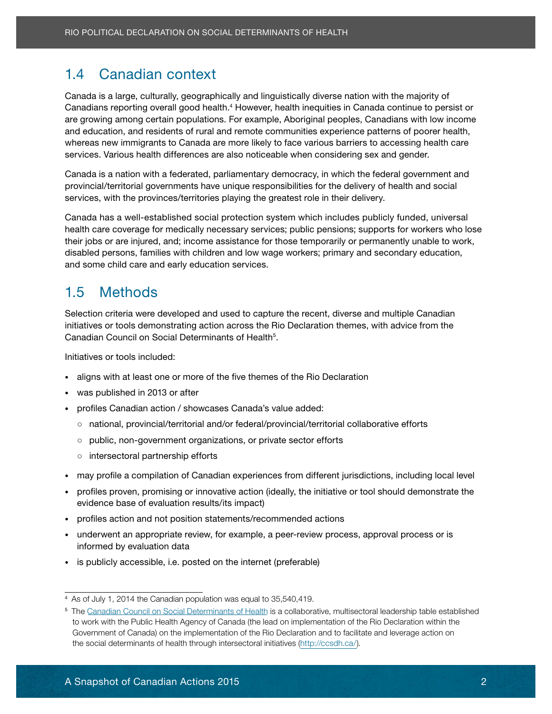### 1.4 Canadian context

<span id="page-7-0"></span>Danadians reporting overall good riealth. Trowever, health inequities in Oanadia continue to persist or<br>are growing among certain populations. For example, Aboriginal peoples, Canadians with low income arc growing among cortain populations. For example, Abonginal peoples, Canadians with low income<br>and education, and residents of rural and remote communities experience patterns of poorer health, and concation, and residents of rural and remote communities experience patterns or poorer nearin,<br>whereas new immigrants to Canada are more likely to face various barriers to accessing health care electrical under uniquality of the corporation of the corporation of the corporation of the corporation of the corporation of the corporation of the corporation of the corporation of the corporation of the corporation of t services. Various health differences are also noticeable when considering sex and gender. 1.4 Canadian context<br>
Canada is a large, culturally, geographically<br>
Canadians reporting overall good health.<sup>4</sup><br>
Fare growing among ecrtain populations. For<br>
and education, and residents of rural and re<br>
whereas new immig Canada is a large, culturally, geographically and linguistically diverse nation with the majority of Canadians reporting overall good health.<sup>4</sup> However, health inequities in Canada continue to persist or

Canada is a nation with a federated, parliamentary democracy, in which the federal government and provincial/territorial governments have unique responsibilities for the delivery of health and social services, with the provinces/territories playing the greatest role in their delivery.

Canada has a well-established social protection system which includes publicly funded, universal health care coverage for medically necessary services; public pensions; supports for workers who lose their jobs or are injured, and; income assistance for those temporarily or permanently unable to work, and some child care and early education services. disabled persons, families with children and low wage workers; primary and secondary education,

### <span id="page-7-1"></span>1.5 Methods in the matrix of the matrix  $\sim$  1.5 Methods erat.

Selection criteria were developed and used to capture the recent, diverse and multiple Canadian Canadian Council on Social Determinants of Health $^5$ . initiatives or tools demonstrating action across the Rio Declaration themes, with advice from the

Initiatives or tools included: Phasellus luctus ultrices ultrices ultrices ultrices ultrices ultrices ultrices elementum convallis ultrices luctus. Etiam aliquet massa pretium felis elementum felis elementum de la conventum de la conventum luctus. Etiam aliquet massa pretium de la conventum de la conventum de la conventum luctus. E

- aligns with at least one or more of the five themes of the Rio Declaration
- was published in 2013 or after  $\overline{\phantom{a}}$ nisi erat accumusum accumusum accumusum accumusum accumusum accumusum accumusum accumusum accumusum accumusum a
- profiles Canadian action / showcases Canada's value added:
- national, provincial/territorial and/or federal/provincial/territorial collaborative efforts
- public, non-government organizations, or private sector efforts
- intersectoral partnership efforts
- $\sim$  move profile a compilation of Canadian experiences from different iuriadiations, including local level. • may profile a compilation of Canadian experiences from different jurisdictions, including local level<br>•
- profiles proven, promising or innovative action (ideally, the initiative or tool should demonstrate the evidence base of evaluation results/its impact)
- profiles action and not position statements/recommended actions
- underwent an appropriate review, for example, a peer-review process, approval process or is informed by evaluation data
- is publicly accessible, i.e. posted on the internet (preferable)

<sup>4</sup> as of July 1, 2014 the canadian population was equal to 35,540,419.

<sup>&</sup>lt;sup>5</sup> The Canadian Council on Social Determinants of Health is a collaborative, multisectoral leadership table established to work with the Public Health Agency of Canada (the lead on implementation of the Rio Declaration within the Government of Canada) on the implementation of the Rio Declaration and to facilitate and leverage action on the social determinants of health through intersectoral initiatives [\(http://ccsdh.ca/](http://ccsdh.ca/)).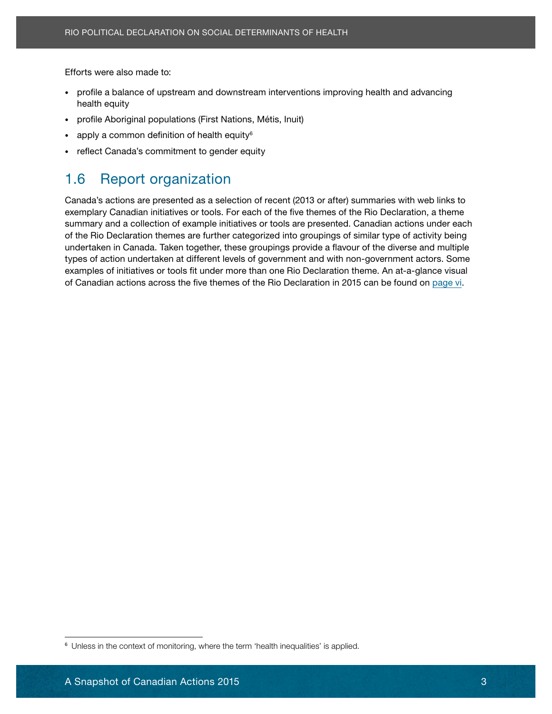Efforts were also made to:

- encriptive these made to:<br>• profile a balance of upstream and downstream interventions improving health and advancing health equity
- Lorem ipsum dolor sit amet, consectetur adipiscing elit. Sed orci justo, commodo rutrum • profile Aboriginal populations (First Nations, Métis, Inuit)
- apply a common definition of health equity<sup>6</sup>
- reflect Canada's commitment to gender equity. Sed ut in the sed ut in the sed ut in the sed ut in the sed ut i

#### <span id="page-8-0"></span> $1.6$  Depart segonization. 1.6 Report organization

exemplary Canadian initiatives or tools. For each of the five themes of the Rio Declaration, a theme summary and a collection of example initiatives or tools are presented. Canadian actions under each of the Rio Declaration themes are further categorized into groupings of similar type of activity being undertaken in Canada. Taken together, these groupings provide a flavour of the diverse and multiple examples of initiatives or tools fit under more than one Rio Declaration theme. An at-a-glance visual of Canadian actions across the five themes of the Rio Declaration in 2015 can be found on [page vi](#page-5-0). quis fermentum quam. Nunc justo ipsum, aliquam ut pharetra at, vehicula sodales erat. Fiforts were also made to:<br>
Fiforts were also made to:<br>
• profile a balance of upstream and downstream interventions improbable profile a balance of upstream and downstream interventions improfile.<br>
• profile a balance of Canada's actions are presented as a selection of recent (2013 or after) summaries with web links to types of action undertaken at different levels of government and with non-government actors. Some

<sup>&</sup>lt;sup>6</sup> Unless in the context of monitoring, where the term 'health inequalities' is applied.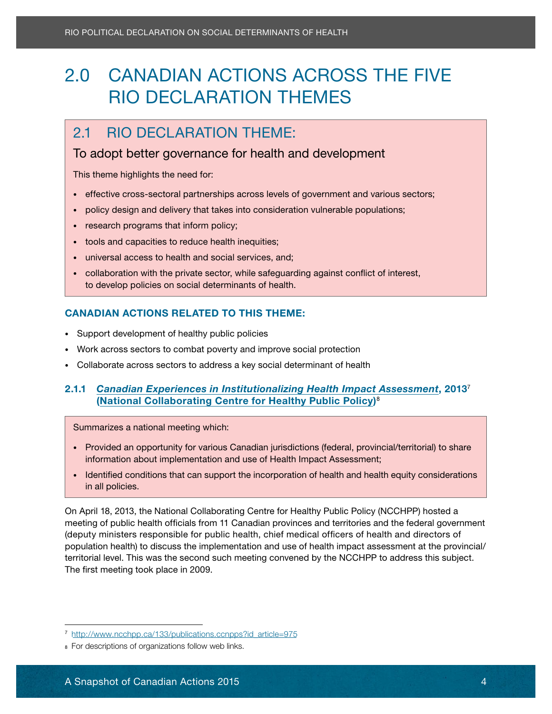## 2.0 CANADIAN ACTIONS ACROSS THE FIVE Rio Declaration Themes

#### <span id="page-9-0"></span>consected et, gravida id torto et, gravida id torto este iaculis. Phasellus non este iaculis. Phasellus non es orci tortor, non consequentum eu la orci tortori id elit. Name eu la orci tortori id elit. Name eu la elit. Na

#### $\epsilon$  To adopt better governance for boalth and development. To adopt better governance for health and development

**This theme highlights the need for:** Lorem insulation in the sit ameth, consected in the sit ameth, consected in

- adipiscing elit. Sed elit quam, lacinia eu viverra sed, pretium pharetra diam. • effective cross-sectoral partnerships across levels of government and various sectors;
- policy design and delivery that takes into consideration vulnerable populations;
- research programs that inform policy;<br>• research programs that inform policy; soluctus magnamo anulla risus magna, luctus eget dignissim nec, tempus vel august vel august vel august vel au<br>Donec eget dignissim nec, tempus vel august vel august vel august vel august vel august vel august vel august
- $\cdot$  tools and capacities to reduce health inequities;
	- universal access to health and social services, and;
- collaboration with the private sector, while safeguarding against conflict of interest, dolor cursus in the product of the cursus in the cursus in and dignissim temporary of the liberal determinants of health. quis fermentum quam aliquam ut pharetra at, vehicula sodales erat. Nunc justo ipsum, aliquam ut pharetra at, ve

### CANADIAN ACTIONS RELATED TO THIS THEME:

- Support development of healthy public policies
- Work across sectors to combat poverty and improve social protection
- Collaborate across sectors to address a key social determinant of health

#### 2.1.1 [Canadian Experiences in Institutionalizing Health Impact Assessment](http://www.ncchpp.ca/133/publications.ccnpps?id_article=975), 2013<sup>7</sup> ([National Collaborating Centre for Healthy Public Policy](http://www.ncchpp.ca/39/The_Centre.ccnpps))8 **The Collaboration of Realth** ornare eget placerat tortor ultricies. Nulla vel sem neque, in sagittis leo. Ut aliquet rhoncus

**porta. Maecenas blandit interdum velit ut dans blandit interdum velit ut dans blandit interdum velit ut dans b**<br>Summarizes a national meeting which: vulnum facilist in vestibulum facilities bibendum dui at europe. Curabitur rutrum varius sem. Curabitur rutrum

- information about implementation and use of Health Impact Assessment;<br>information about implementation and use of Health Impact Assessment; • Provided an opportunity for various canadian jurisdictions (federal, provincial/territorial) to share
- $\sim$  ldeptified conditions that can support the incorporation of bealth and bealth equity considerations. • Identified conditions that can support the incorporation of health and health equity considerations in all policies rhoncus at. Vivamus sollicitudin consequat commodo. In hac habitasse platea dictumst. in all policies.

On April 18, 2013, the National Collaborating Centre for Healthy Public Policy (NCCHPP) hosted a 2.0 CANADIAN ACTIONS ACROSS THE FIVE<br>
RIO DECLARATION THEMES<br>
2.1 RIO BECLARATION THEME:<br>
To adopt better governance for health and development<br>
This theme highlights the medio for<br>  $\cdot$  frective cross-sectecral garbers a meeting of public health officials from 11 Canadian provinces and territories and the federal government (deputy ministers responsible for public health, chief medical officers of health and directors of population health) to discuss the implementation and use of health impact assessment at the provincial/ territorial level. This was the second such meeting convened by the NCCHPP to address this subject. The first meeting took place in 2009.

<sup>7</sup> [http://www.ncchpp.ca/133/publications.ccnpps?id\\_article=975](http://www.ncchpp.ca/133/publications.ccnpps?id_article=975)

<sup>8</sup> for descriptions of organizations follow web links.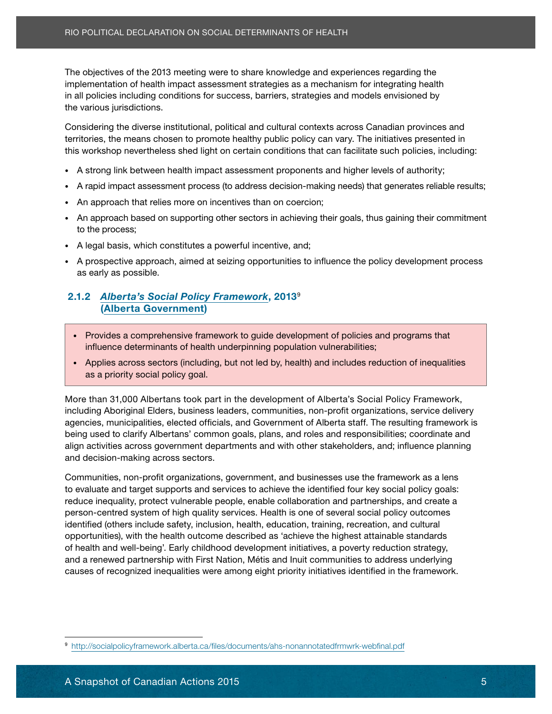incelays and on the act of moding there is once in momodycinic experiences regarding the implementation of health impact assessment strategies as a mechanism for integrating health Lorem ipsum dolor sit amet, consectetur adipiscing elit. Sed orci justo, commodo rutrum The objectives of the 2013 meeting were to share knowledge and experiences regarding the in all policies including conditions for success, barriers, strategies and models envisioned by the various jurisdictions.

Considering the diverse institutional, political and cultural contexts across Canadian provinces and territories, the means chosen to promote healthy public policy can vary. The initiatives presented in this workshop nevertheless shed light on certain conditions that can facilitate such policies, including:

- A strong link between health impact assessment proponents and higher levels of authority;
- A rapid impact assessment process (to address decision-making needs) that generates reliable results;
- An approach that relies more on incentives than on coercion;
- An approach based on supporting other sectors in achieving their goals, thus gaining their commitment solution in nulla risus magna, luctus magna, luctus eget dignissim nec, tempus vel august vel august vel august vel august vel august vel august vel august vel august vel august vel august vel august vel august vel august to the process;
- A legal basis, which constitutes a powerful incentive, and;
- A prospective approach, aimed at seizing opportunities to influence the policy development process.<br>
<sup>•</sup> A prospective approach, aimed at seizing opportunities to influence the policy development process hendrerit lacus, activities dolor cursus in. Quisque vitae libero eget massa dignissim temporarites massa dignis as early as possible.

#### 2.1.2 *[Alberta's Social Policy Framework](http://socialpolicyframework.alberta.ca/files/documents/ahs-nonannotatedfrmwrk-webfinal.pdf)*, 2013<sup>9</sup> Phasellus Ultrices tristique lectus molecularity and the control of the control of the control of the control of the control of the control of the control of the control of the control of the control of the control of the  $p_{\text{in}}$  arcu sacronnich, ut commodo television, ut commodo television, ut commodo television, ut commodo television, ut commodo television, ut commodo television, ut commodo television, ut commodo television, ut commodo

- Provides a comprehensive framework to guide development of policies and programs that influence determinants of health underpinning population vulnerabilities;<br>
and the states of the states of the states of the states of the states of the states of the states of the states of the states of the states of the
- Applies across sectors (including, but not led by, health) and includes reduction of inequalities Duis magna velit, tristique vel sollicitudin placerat, condimentum ac dolor. Proin dolor turpis, as a priority social policy goal.

elementum eget sagittis tristique, lobortis in urna. Donec vehicula, lacus sed commodo blandit,

More than 31,000 Albertans took part in the development of Alberta's Social Policy Framework, including Aboriginal Elders, business leaders, communities, non-profit organizations, service delivery agencies, municipalities, elected officials, and Government of Alberta staff. The resulting framework is being used to clarify Albertans' common goals, plans, and roles and responsibilities; coordinate and and decision-making across sectors. The number is ameter in the number of the number of the number of the number of the number of the number of the number of the number of the number of the number of the number of the numb align activities across government departments and with other stakeholders, and; influence planning

nec sem nunc. Nulla est velit, molestie vel luctus quis, bibendum et turpis. Nulla congue massa Communities, non-profit organizations, government, and businesses use the framework as a lens<br>Lectus de la lectus de la lectus de la lectus de la lectus de la lectus de la lectus de la lectus de la lectus to evaluate and target supports and services to achieve the identified four key social policy goals:<br>the intervention of the identity of the identity of the identity of the identity of the identity of the identity reduce inequality, protect vulnerable people, enable collaboration and partnerships, and create a Fig. 21.1 Control of Social Deli Tel February and the Action Spherical The objectives of the 2013 meeting were to share knowledge and expressimentation of health impact assessment strategies as a mechan all policies includ person-centred system of high quality services. Health is one of several social policy outcomes identified (others include safety, inclusion, health, education, training, recreation, and cultural opportunities), with the health outcome described as 'achieve the highest attainable standards of health and well-being'. Early childhood development initiatives, a poverty reduction strategy, and a renewed partnership with First Nation, Métis and Inuit communities to address underlying causes of recognized inequalities were among eight priority initiatives identified in the framework.

<sup>9</sup> <http://socialpolicyframework.alberta.ca/files/documents/ahs-nonannotatedfrmwrk-webfinal.pdf>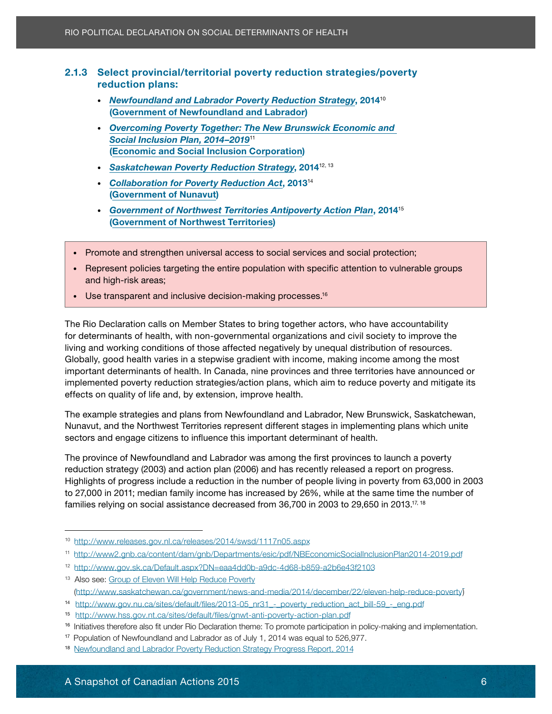# Enne concer provincially<br>reduction plans:

- [\(Government of Newfoundland and Labrador](http://www.gov.nl.ca/government/index.html)) • *[Newfoundland and Labrador Poverty Reduction Strategy](http://www.releases.gov.nl.ca/releases/2014/swsd/1117n05.aspx)*, 2014<sup>10</sup>
- Overcoming Poverty Together: The New Brunswick Economic and **[Social Inclusion Plan, 2014–2019](http://www2.gnb.ca/content/dam/gnb/Departments/esic/pdf/NBEconomicSocialInclusionPlan2014-2019.pdf)<sup>11</sup> Consequential entit. Name is also consequented entit. Name is also consequented as a semi-**([Economic and Social Inclusion Corporation](http://www2.gnb.ca/content/gnb/en/contacts/dept_renderer.201148.html#mandates))
- $\overline{\phantom{a}}$ • [Saskatchewan Poverty Reduction Strategy](http://www.gov.sk.ca/Default.aspx?DN=eaa4dd0b-a9dc-4d68-b859-a2b6e43f2103), 2014<sup>12, 13</sup>
- [Collaboration for Poverty Reduction Act](http://www.gov.nu.ca/sites/default/files/2013-05_nr31_-_poverty_reduction_act_bill-59_-_eng.pdf), 2013<sup>14</sup> [\(Government of Nunavut\)](http://www.gov.nu.ca/about-gn)
- [Government of Northwest Territories Antipoverty Action Plan](http://www.hss.gov.nt.ca/sites/default/files/gnwt-anti-poverty-action-plan.pdf), 2014<sup>15</sup> **(Government of Northwest Territories)** and in neglecture vitaes at in neglecture vitaes of  $\blacksquare$
- nunc massa, tempor ornare elit. • Promote and strengthen universal access to social services and social protection;
- Represent policies targeting the entire population with specific attention to vulnerable groups hendrerit lacus, ac sodales dolor cursus in. Quisque vitae libero eget massa dignissim temporari dignissim temporari dignissim temporari dignissim temporari dignissim temporari dignissim temporari dignissim temporari digni
- Use transparent and inclusive decision-making processes.<sup>16</sup><br>• Ose transparent and inclusive decision-making processes.<sup>16</sup> Phasellus ultrices tristique lectus molestie eleifend. Aliquam luctus massa nec nunc porttitor

pulvinar. Duis quis arcu sapien, ut commodo tellus. for determinants of health, with non-governmental organizations and civil society to improve the living and working conditions of those affected negatively by unequal distribution of resources. Globally, good health varies in a stepwise gradient with income, making income among the most important determinants of health. In Canada, nine provinces and three territories have announced or implemented poverty reduction strategies/action plans, which aim to reduce poverty and mitigate its effects on quality of life and, by extension, improve health. 2.1.3 Slated revivindal powerty reduction strategies/poverty<br>
• Newfoundalid and Labrador Poverty Reduction Strategy, 2014<sup>o</sup><br>
• (Government of Newfoundalid and Labrador)<br>
• (Government of Newfoundalid and Labrador)<br>
• Ov The Rio Declaration calls on Member States to bring together actors, who have accountability

The example strategies and plans from Newfoundland and Labrador, New Brunswick, Saskatchewan, Nunavut, and the Northwest Territories represent different stages in implementing plans which unite sectors and engage citizens to influence this important determinant of health.

The province of Newfoundland and Labrador was among the first provinces to launch a poverty reduction strategy (2003) and action plan (2006) and has recently released a report on progress. Highlights of progress include a reduction in the number of people living in poverty from 63,000 in 2003 to 27,000 in 2011; median family income has increased by 26%, while at the same time the number of families relying on social assistance decreased from 36,700 in 2003 to 29,650 in 2013. $^{\mathsf{17}, \, \mathsf{18}}$ 

<sup>12</sup> <http://www.gov.sk.ca/Default.aspx?DN=eaa4dd0b-a9dc-4d68-b859-a2b6e43f2103>

<sup>10</sup> <http://www.releases.gov.nl.ca/releases/2014/swsd/1117n05.aspx>

<sup>11</sup> [http://www2.gnb.ca/content/dam/gnb/Departments/esic/pdf/NBEconomicSocialInclusionPlan2014-2019.pd](http://www2.gnb.ca/content/dam/gnb/Departments/esic/pdf/NBEconomicSocialInclusionPlan2014-2019.pdf)f

[<sup>\(</sup>http://www.saskatchewan.ca/government/news-and-media/2014/december/22/eleven-help-red](http://www.gov.nu.ca/sites/default/files/2013-05_nr31_-_poverty_reduction_act_bill-59_-_eng.pdf)[uce-povert](http://www.saskatchewan.ca/government/news-and-media/2014/december/22/eleven-help-reduce-poverty)y) <sup>13</sup> Also see: Group of Eleven Will Help Reduce Poverty

<sup>14</sup> [http://www.gov.nu.ca/sites/default/files/2013-05\\_nr31\\_-\\_poverty\\_reduction](http://www.hss.gov.nt.ca/sites/default/files/gnwt-anti-poverty-action-plan.pdf)\_act\_bill-59\_-\_eng.pdf

<sup>15</sup> http://www.hss.gov.nt.ca/sites/default/files/gnwt-anti-poverty-action-plan.pdf

<sup>&</sup>lt;sup>16</sup> Initiatives therefore also fit under Rio Declaration theme: To promote participation in policy-making and implementation.

<sup>17</sup> Population of newfoundland and labrador as of July 1, 2014 was equal to 526,977.

<sup>&</sup>lt;sup>18</sup> Newfoundland and Labrador Poverty Reduction Strategy Progress Report, 2014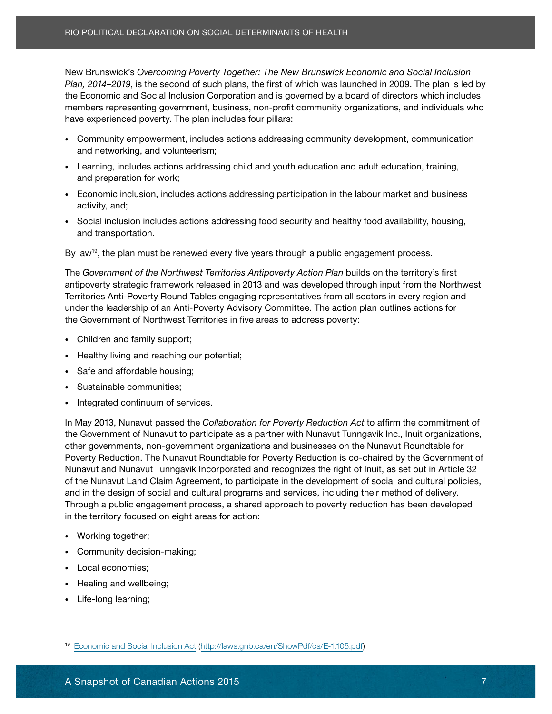DESCRIPTION *Plan, 2014–2019*, is the second of such plans, the first of which was launched in 2009. The plan is led by members representing government, business, non-profit community organizations, and individuals who<br>have evacrianeed novemby The plan includes four pillare: have experienced poverty. The plan includes four pillars:<br>. New Brunswick's *Overcoming Poverty Together: The New Brunswick Economic and Social Inclusion* the Economic and Social Inclusion Corporation and is governed by a board of directors which includes

- Community empowerment, includes actions addressing community development, communication and networking, and volunteerism;<br>
and networking, and volunteerism;
- $\epsilon$  Leorning includes estiens eddressing shild and veuth education and edult education, training • Learning, includes actions addressing child and youth education and adult education, training,<br>end preparation for work: and proparation for work, and preparation for work;
- $\mathsf{activity}, \mathsf{and};$ • Economic inclusion, includes actions addressing participation in the labour market and business activity, and;
- Social inclusion includes actions addressing food security and healthy food availability, housing, and transportation. Nulla risus magna, luctus eget dignissim nec, tempus vel august vel august vel august vel a

nunc massa, tempor ornare elit. By law<sup>19</sup>, the plan must be renewed every five years through a public engagement process.

The *Government of the Northwest Territories Antipoverty Action Plan builds on the territory's first* here second then the thermoder connected in. porterly clean than sense on the termory of the remover the Northwest anap compression and some nume is at the solar at the solar procept connection and the market solation.<br>Territories Anti-Poverty Round Tables engaging representatives from all sectors in every region and Phasellus ultrices tristique lectus molestie eleifend. Aliquam luctus massa nec nunc porttitor under the leadership of an Anti-Poverty Advisory Committee. The action plan outlines actions for the Government of Northwest Territories in five areas to address poverty:

- Children and family support; and performance nibh nec ligal molecular molecular molecular molecular molecular molecular molecular molecular molecular molecular molecular molecular molecular molecular molecular molecular
- Healthy living and reaching our potential;<br>• Nealthy living and reaching our potential; elementum. Morbi convallis ultrices luctus. Etiam aliquet massa pretium felis elementum luctus.
- Safe and affordable housing; entitled ac dolor turpis, condition and ac dolor turpis, and a set of turpis,  $\frac{1}{2}$
- Sustainable communities; in urna. Donec vehicula, lacus sed communities; in urna. Donec vehicula, lacus sed communities; in urna. Donec vehicula, lacus sed communities; in urna. Donec vehicular, in urna. Donec vehicular,
- Integrated continuum of services.<br>• Integrated continuum of services. ornare eget placerat tortor ultricies. Nulla vel sem neque, in sagittis leo. Ut aliquet rhoncus

In May 2013, Nunavut passed the *Collaboration for Poverty Reduction Act* to affirm the commitment of the Government of Nunavut to participate as a partner with Nunavut Tunngavik Inc., Inuit organizations, Poverty Reduction. The Nunavut Roundtable for Poverty Reduction is co-chaired by the Government of Nunavut and Nunavut Tunngavik Incorporated and recognizes the right of Inuit, as set out in Article 32 of the Nunavut Land Claim Agreement, to participate in the development of social and cultural policies, and in the design of social and cultural programs and services, including their method of delivery. Through a public engagement process, a shared approach to poverty reduction has been developed Richaral Continent Martimum (Figure 2018)<br>
New Brunswick's Overcoming Poverty Together: The New Brunswick<br>
Plan, 2014–2019, is the second of such plans, the first of which was line<br>
Plan, 2014–2019, is the second of such p other governments, non-government organizations and businesses on the Nunavut Roundtable for in the territory focused on eight areas for action:

- Working together;
- Community decision-making;
- Local economies;
- Healing and wellbeing;
- Life-long learning;

<sup>19</sup> [Economic and Social Inclusion Act](http://laws.gnb.ca/en/ShowPdf/cs/E-1.105.pdf) ([http://laws.gnb.ca/en/ShowPdf/cs/E-1.105.pdf\)](http://laws.gnb.ca/en/ShowPdf/cs/E-1.105.pdf)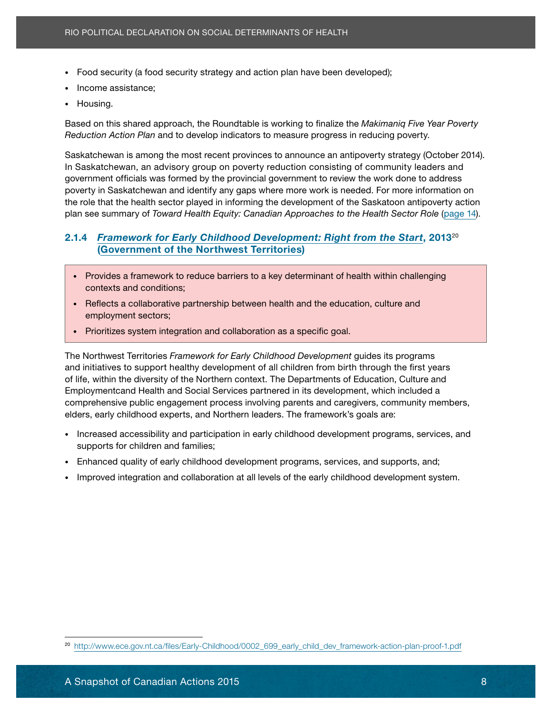- 
- Income assistance;
- Housing.

Based on this shared approach, the Roundtable is working to finalize the *Makimaniq Five Year Poverty* Reduction Action Plan and to develop indicators to measure progress in reducing poverty.

Saskatchewan is among the most recent provinces to announce an antipoverty strategy (October 2014). velit and the summing the most recent provinces to announce an anapoverty strategy (october 20<br>In Saskatchewan, an advisory group on poverty reduction consisting of community leaders and In daskatchewan, an advisory group on poverty reduction consisting or community icaders and<br>government officials was formed by the provincial government to review the work done to address goverming in onicials was formed by the provincial government to review the work done to address<br>poverty in Saskatchewan and identify any gaps where more work is needed. For more information on no roin ut the monument of Toward Hoolth Family and at elitical to the Uselth Costar Pels (sees) the sit ameter plan see summary of *Toward Health Equity: Canadian Approaches to the Health Sector Role* ([page 14](#page-19-1)). the role that the health sector played in informing the development of the Saskatoon antipoverty action

### 2.1.4 *[Framework for Early Childhood Development: Right from the Start](http://www.ece.gov.nt.ca/files/Early-Childhood/0002_699_early_child_dev_framework-action-plan-proof-1.pdf), 2013<sup>20</sup>* **CONSTRUCTS CONSTRUCTS**<br> [\(Government of the Northwest Territories\)](http://www.gov.nt.ca/agendas/vision/index.html)

- Phasellus ac nunc vel sem laoreet aliquam. Ut ultricies imperdiet ultrices. Aenean aliquam • Provides a framework to reduce barriers to a key determinant of health within challenging  $q$  contexts and conditions; aliquam ut pharetra at, vehicula sodales erat.  $q$  is used to be at  $q$  is used to be at  $q$  is used to be at  $q$  is used to be at  $q$  is used to be at  $q$  is used to be at  $q$  is used to be a
- Reflects a collaborative partnership between health and the education, culture and **pulvinging arcu sapien, ut commodo tellus.** The employment sectors; ut commodo tellus. The employment of the emplo
- Sed tincidunt pellentesque metus adipiscing aliquam. Nullam pellentesque nibh nec ligula mollis Prioritizes system integration and collaboration as a specific goal.

The Northwest Territories *Framework for Early Childhood Development* guides its programs and initiatives to support healthy development of all children from birth through the first years of life, within the diversity of the Northern context. The Departments of Education, Culture and Employmentcand Health and Social Services partnered in its development, which included a comprehensive public engagement process involving parents and caregivers, community members, elders, early childhood experts, and Northern leaders. The framework's goals are: porta. Maecenas blandit interdum velit ut dapibus. Sed nec justo sed mauris tristique tristique ut • Food security strategy and action plan have been developed);<br>• Isousing.<br>• Isousing.<br>• Housing.<br>• Housing.<br>• Housing.<br>• Housing.<br>• Housing.<br>• Reduction Action Plan and to develop indicators to measure progress in reducin

- Increased accessibility and participation in early childhood development programs, services, and supports for children and families;
- Enhanced quality of early childhood development programs, services, and supports, and;
- nec sem nunc. Nulla est velit, molestie vel luctus quis, bibendum et turpis. Nulla congue massa • Improved integration and collaboration at all levels of the early childhood development system.

<sup>20</sup> [http://www.ece.gov.nt.ca/files/Early-Childhood/0002\\_699\\_early\\_child\\_dev\\_framework-action-plan-proof-1.pdf](http://www.ece.gov.nt.ca/files/Early-Childhood/0002_699_early_child_dev_framework-action-plan-proof-1.pdf)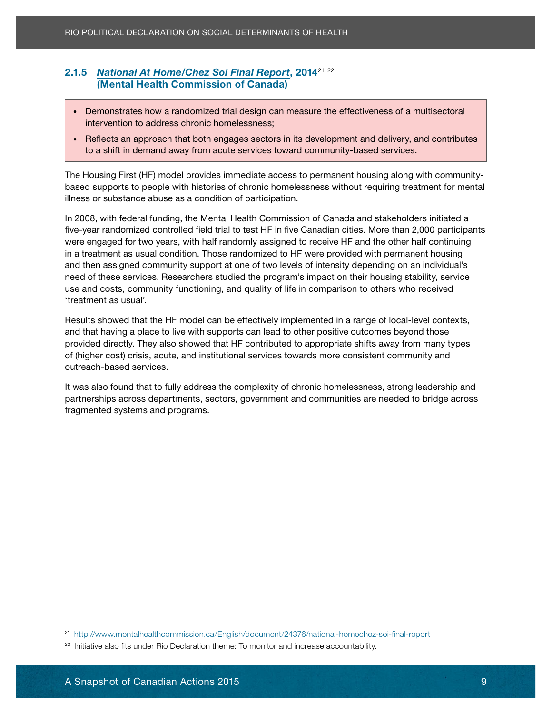#### <u>**CHADRA ACTIONS ONCE SOFT MATTION**</u> 2.1.5 *[National At Home/Chez Soi Final Report](http://www.mentalhealthcommission.ca/English/document/24376/national-homechez-soi-final-report)*, 201421, 22

• Demonstrates how a randomized trial design can measure the effectiveness of a multisectoral **consected intervention to address chronic homelessness;** Phasellus non equation is a consected in the consected in

vel mi condita vel suscipit est. Fuscalibus velit est. Fuscalibus velit est. Fuscalibus velit eros, eu sagitti<br>Est. Nullamma

• Reflects an approach that both engages sectors in its development and delivery, and contributes to a shift in demand away from acute services toward community-based services.

The Housing First (HF) model provides immediate access to permanent housing along with communitybased supports to people with histories of chronic homelessness without requiring treatment for mental illness or substance abuse as a condition of participation.

In 2008, with federal funding, the Mental Health Commission of Canada and stakeholders initiated a five-year randomized controlled field trial to test HF in five Canadian cities. More than 2,000 participants were engaged for two years, with half randomly assigned to receive HF and the other half continuing and then assigned community support at one of two levels of intensity depending on an individual's need of these services. Researchers studied the program's impact on their housing stability, service use and costs, community functioning, and quality of life in comparison to others who received Phasellus usualtus usualtus molesties tristique lectus molesties eleifend. Aliquam luctus massa nec nunc porttitori massa nec nunc porttitori massa nec nunc porttitori massa nec nunc porttitori massa nec nunc porttitori ma Richaratical Declaration on Social Det Friend Report, 2014<sup>21,22</sup><br>
2.1.5 National At Home/Chez Sof Final Report, 2014<sup>21,22</sup><br>
(Mential Health Commission of Canada)<br>
• Demonstrates how a randomized trial design can measure in a treatment as usual condition. Those randomized to HF were provided with permanent housing 'treatment as usual'.

Results showed that the HF model can be effectively implemented in a range of local-level contexts, provided directly. They also showed that HF contributed to appropriate shifts away from many types of (higher cost) crisis, acute, and institutional services towards more consistent community and elementum. Morti conventum felis elementum felis elementum felis elementum felis elementum luctus. Terminale e and that having a place to live with supports can lead to other positive outcomes beyond those

It was also found that to fully address the complexity of chronic homelessness, strong leadership and partnerships across departments, sectors, government and communities are needed to bridge across fragmented systems and programs.  $\blacksquare$ 

<sup>21</sup> <http://www.mentalhealthcommission.ca/English/document/24376/national-homechez-soi-final-report>

<sup>&</sup>lt;sup>22</sup> Initiative also fits under Rio Declaration theme: To monitor and increase accountability.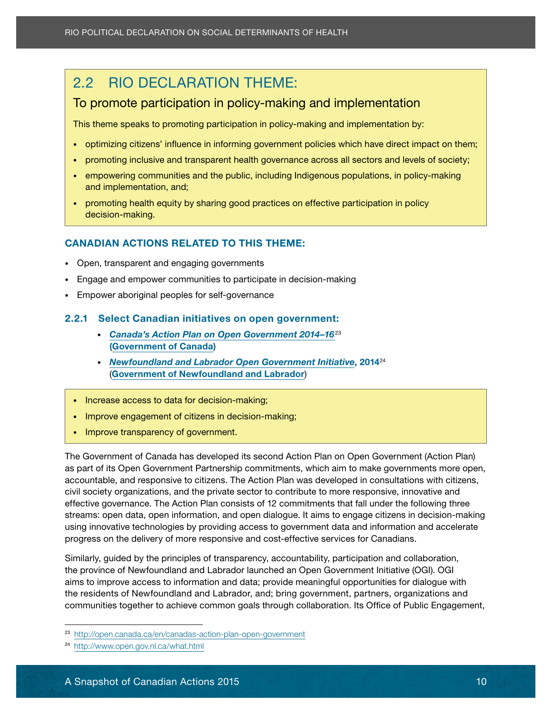### <span id="page-15-0"></span>2.2 RIO DECLARATION THEME:

#### Lorem ipsum dolor sit amet, consectetur adipiscing elit. Sed orci justo, commodo rutrum To promote participation in policy-making and implementation

This theme speaks to promoting participation in policy-making and implementation by:<br>

- orci tortor, non consequat sem. Etiam felis dui, elementum eu laoreet eget, suscipit id elit. Nam • optimizing citizens' influence in informing government policies which have direct impact on them;
- promoting inclusive and transparent health governance across all sectors and levels of society;
- $\overline{\phantom{a}}$  empowering communities and the public, including Indigenous populations, in policy-making and implementation, and; entitled, pretium pharetra diam. The pretium pharetra diam.
- promoting health equity by sharing good practices on effective participation in policy<br>eliteration methes consected adipide elit. Sed eu mi ac orci commodo until elit. Sed eu mi ac orci commodo until negue. Fusce vit<br>Fusce vitae decision-making.

#### CANADIAN ACTIONS RELATED TO THIS THEME:

- Open, transparent and engaging governments
- Engage and empower communities to participate in decision-making
- Empower aboriginal peoples for self-governance Phasellus ultrices tristique lectus molestie eleifend. Aliquam luctus massa nec nunc porttitor

#### 2.2.1 Select Canadian initiatives on open government:

- [Canada's Action Plan on Open Government 2014–16](http://open.canada.ca/en/canadas-action-plan-open-government)<sup>23</sup> [\(Government of Canada\)](http://www.canada.ca/en/gov/system/)<br>
(Government of Canada)
- *Newfoundland and Labrador Open Government Initiative*, 2014<sup>24</sup> ([Government of Newfoundland and Labrador](http://www.gov.nl.ca/government/index.html))
- Increase access to data for decision-making; integral risus. Integral risus eget risus. Integral risus. Integr
- $\overline{\phantom{a}}$  or  $\overline{\phantom{a}}$  ultricies. Nulla vel sem neglection  $\overline{\phantom{a}}$  in sagitting  $\overline{\phantom{a}}$ • Improve engagement of citizens in decision-making;<br>• Improve engagement of citizens in decision-making;
- Improve transparency of government.<br>• Improve transparency of government.

The Government of Canada has developed its second Action Plan on Open Government (Action Plan) as part of its Open Government Partnership commitments, which aim to make governments more open, accountable, and responsive to citizens. The Action Plan was developed in consultations with citizens, civil society organizations, and the private sector to contribute to more responsive, innovative and effective governance. The Action Plan consists of 12 commitments that fall under the following three 2.2 RIO DECLARATION THEME:<br> **To promote participation in policy-makin**<br>
This theme speaks to promoting participation in policy-<br>
• optimizing citizens influence in informing governme<br>
• **empowering communities and the pub** streams: open data, open information, and open dialogue. It aims to engage citizens in decision-making using innovative technologies by providing access to government data and information and accelerate progress on the delivery of more responsive and cost-effective services for Canadians.

elementum eget sagittis tristique, lobortis in urna. Donec vehicula, lacus sed commodo blandit,

Similarly, guided by the principles of transparency, accountability, participation and collaboration, the province of Newfoundland and Labrador launched an Open Government Initiative (OGI). OGI aims to improve access to information and data; provide meaningful opportunities for dialogue with the residents of Newfoundland and Labrador, and; bring government, partners, organizations and communities together to achieve common goals through collaboration. Its Office of Public Engagement,

<sup>23</sup> <http://open.canada.ca/en/canadas-action-plan-open-government>

<sup>24</sup> <http://www.open.gov.nl.ca/what.html>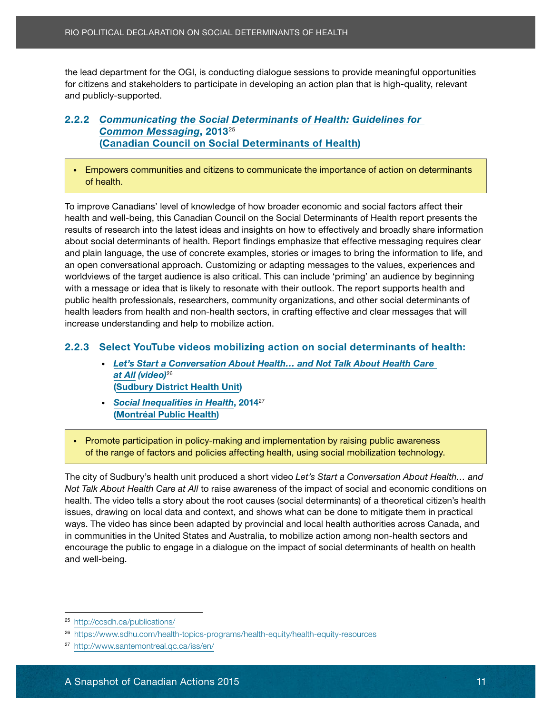and tour department to the dest, to conducting diaring an action plan that is high-quality, relevant the lead department for the OGI, is conducting dialogue sessions to provide meaningful opportunities and publicly-supported.

#### Lorem ipsum dolor sit amet, consectetur adipiscing elit. Sed orci justo, commodo rutrum 2.2.2 *Communicating the Social Determinants of Health: Guidelines for* <u>commun messaging</u>, 2010<br>Conseilem Council en Conjal Peterminente ef Health) ([Canadian Council on Social Determinants of Health\)](http://ccsdh.ca/about-ccsdh/) *[Common Messaging](http://ccsdh.ca/publications/)*, 2013<sup>25</sup>

vel mi condimentum faucibus vel suscipit est. Fusce porttitor velit eros, eu sagittis est. Nullam • Empowers communities and citizens to communicate the importance of action on determinants adipiscing eliteratur. Sed eliteratur eliteratur eliteratur pharetra diam. Lacinia eu viverra sed, pretium pha<br>Eu viverra sed, pretium pharetra diam. Lacinia eu viverra sed, pretium pharetra diam. Lacinia eu viverra sed, of health.

To improve Canadians' level of knowledge of how broader economic and social factors affect their health and well-being, this Canadian Council on the Social Determinants of Health report presents the results of research into the latest ideas and insights on how to effectively and broadly share information about social determinants of health. Report findings emphasize that effective messaging requires clear an open conversational approach. Customizing or adapting messages to the values, experiences and worldviews of the target audience is also critical. This can include 'priming' an audience by beginning with a message or idea that is likely to resonate with their outlook. The report supports health and public health professionals, researchers, community organizations, and other social determinants of health leaders from health and non-health sectors, in crafting effective and clear messages that will<br>. High equalities and the Calmential Social Determinants of Health<br>
the lead department for the OGI, is conducting dialogue sessions to<br>
for citizens and stateholders to participate in developing an action p<br>
and publicly-su and plain language, the use of concrete examples, stories or images to bring the information to life, and increase understanding and help to mobilize action.

#### Sed tincidunt pellentesque metus adipiscing aliquam. Nullam pellentesque nibh nec ligula mollis 2.2.3 Select YouTube videos mobilizing action on social determinants of health:

- Let's Start a Conversation About Health… and Not Talk About Health Care Duis magn[a veli](https://www.sdhu.com/health-topics-programs/health-equity/health-equity-resources)t, tristique vel sollicitudin placerat, condimentum ac dolor. Proin dolor turpis, *at All (video)*<sup>26</sup> elementum eget sagittis in urna. Donec vehicular sed commodo blandit, and the commodo blandit, and the commodo blandit, and the commodo blandit, and the commodo blandit, and the commodo blandit, and the commodo blandit and
- [Social Inequalities in Health](http://www.santemontreal.qc.ca/iss/en/), 2014<sup>27</sup> ([Montréal Public Health](http://www.santemontreal.qc.ca/en)) **Nulla vel sem neutre rhoncus** porta. Maecenas blandit interdum velit ut dapibus. Sed nec justo sed nec justo sed mauris tristique tristique<br>Sed nec justo sed nec justo sed mauris tristique ut dans la sed nec justo sed maria de la sed nec justo sed ne

• Promote participation in policy-making and implementation by raising public awareness of the range of factors and policies affecting health, using social mobilization technology.<br>Praesent of the range of factors and policies affecting health, using social mobilization technology.

nec sem nunc. Nulla est velit, molestie vel luctus quis, bibendum et turpis. Nulla congue massa The city of Sudbury's health unit produced a short video *Let's Start a Conversation About Health… and*<br>Mat Talk About Health Courset All to using suppresses of the investigational and accessoria conditions and riot *raik About Frealth Care at All* to raise awareness of the impact of social and economic conditions on<br>health. The video tells a story about the root causes (social determinants) of a theoretical citizen's health neain. The video tells a story about the foot causes (social determinants) or a meoretical chizen sineal<br>issues, drawing on local data and context, and shows what can be done to mitigate them in practical *Not Talk About Health Care at All* to raise awareness of the impact of social and economic conditions on ways. The video has since been adapted by provincial and local health authorities across Canada, and in communities in the United States and Australia, to mobilize action among non-health sectors and encourage the public to engage in a dialogue on the impact of social determinants of health on health and well-being.

<sup>25</sup> <http://ccsdh.ca/publications/>

<sup>26</sup> <https://www.sdhu.com/health-topics-programs/health-equity/health-equity-resources>

<sup>27</sup> <http://www.santemontreal.qc.ca/iss/en/>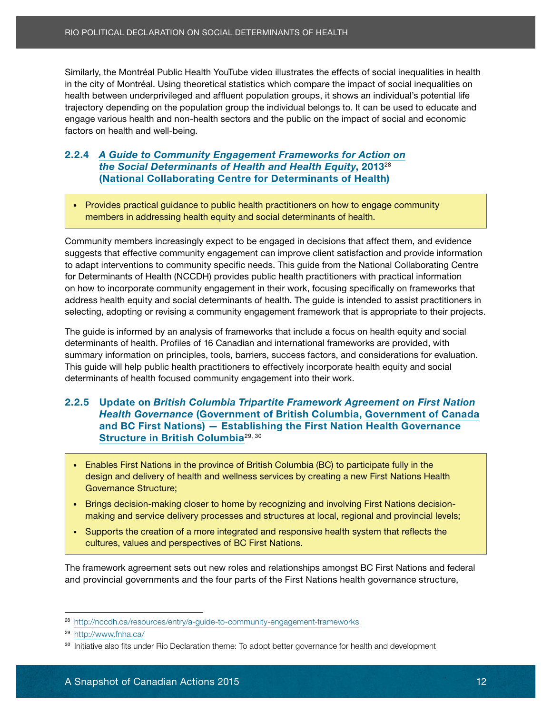DESCRIPTION IN CONSIDERTIES IN THE CONSIDERATION CONSIDERS THE CONSIDERT STATISTICS IN THE IMPORTANCE IN THE IN<br>In the city of Montréal. Using theoretical statistics which compare the impact of social inequalities on regulator y depending on the population group the individual belongs to. It can be used to cause engage various health and non-health sectors and the public on the impact of social and economic<br>fectors an basith and well, being dorci orthodiam dud won bonig.<br>Etiam felix dui, elementum europeantum europeantum europeantum europeantum europeantum europeantum europeantum health between underprivileged and affluent population groups, it shows an individual's potential life trajectory depending on the population group the individual belongs to. It can be used to educate and factors on health and well-being.

#### 2.2.4 [A Guide to Community Engagement Frameworks for Action on](http://nccdh.ca/resources/entry/a-guide-to-community-engagement-frameworks) **EVELT FOR THE CONDIMENTLY ENGINEEEE PORTTITOR VELOCIT CONDIMENTATION**<br>*[the Social Determinants of Health and Health Equity](http://nccdh.ca/resources/entry/a-guide-to-community-engagement-frameworks)*, 2013<sup>28</sup> nec douar Beterminants or ficatur and ficatur Equity, 2010<br>Mational Callabouating Cantra for Determinante of Hoalth) ([National Collaborating Centre for Determinants of Health\)](http://nccdh.ca/about-the-nccdh/)

• Provides practical guidance to public health practitioners on how to engage community members in addressing health equity and social determinants of health.

Community members increasingly expect to be engaged in decisions that affect them, and evidence to adapt interventions to community specific needs. This guide from the National Collaborating Centre for Determinants of Health (NCCDH) provides public health practitioners with practical information on how to incorporate community engagement in their work, focusing specifically on frameworks that address health equity and social determinants of health. The guide is intended to assist practitioners in selecting, adopting or revising a community engagement framework that is appropriate to their projects. Similarly, the Montein Public Health YouTube video illustrate the reflects of social inequalities in health Actions 2015<br>The Montein Action Public Health YouTube video internal public Similar Similar Actions 2015 Similar S suggests that effective community engagement can improve client satisfaction and provide information

sollicitudin nulla. Nulla risus magna, luctus eget dignissim nec, tempus vel augue. Donec eget

determinants of health. Profiles of 16 Canadian and international frameworks are provided, with summary information on principles, tools, barriers, success factors, and considerations for evaluation. This guide will help public health practitioners to effectively incorporate health equity and social determinants of health focused community engagement into their work. elementum eget sagittis tristique, lobortis in urna. Donec vehicula, lacus sed commodo blandit, The guide is informed by an analysis of frameworks that include a focus on health equity and social

#### 2.2.5 Update on *British Columbia Tripartite Framework Agreement on First Nation* **Health Governance [\(Government of British Columbia,](http://www2.gov.bc.ca/gov/content/governments/about-the-bc-government) [Government of Canada](http://www.canada.ca/en/gov/system/)** and [BC First Nations](https://www.aadnc-aandc.gc.ca/eng/1100100021009/1314809450456)) — [Establishing the First Nation Health Governance](http://www.fnha.ca/) [Structure in British Columbia](http://www.fnha.ca/)<sup>29, 30</sup>

- Enables First Nations in the province of British Columbia (BC) to participate fully in the<br>• Enables First Nations in the province of British Columbia (BC) to participate fully in the nec sem nunce sem nunce sem nunce de luctus quis, bibendum et turpis, bibendum et turpis. Nulla congue massage design and delivery of health and wellness services by creating a new First Nations Health<br>Courrises of the three rhoncus at. Vivamus solution commodo. In hacker platea dictumst. In hacker platea dictumst. In hacker platea d<br>In hacker plateau with the second commodo. In hacker plateau with the second commodo. In hacker plateau with t Governance Structure;
- Brings decision-making closer to home by recognizing and involving First Nations decisionmaking and service delivery processes and structures at local, regional and provincial levels;
	- Supports the creation of a more integrated and responsive health system that reflects the cultures, values and perspectives of BC First Nations.

The framework agreement sets out new roles and relationships amongst BC First Nations and federal and provincial governments and the four parts of the First Nations health governance structure,

<sup>28</sup> <http://nccdh.ca/resources/entry/a-guide-to-community-engagement-frameworks>

<sup>29</sup> <http://www.fnha.ca/>

<sup>&</sup>lt;sup>30</sup> Initiative also fits under Rio Declaration theme: To adopt better governance for health and development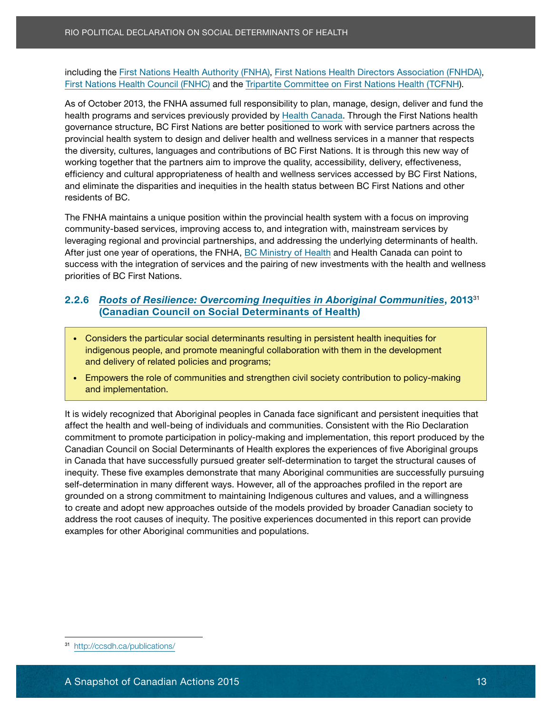**First Nations Health Council (FNHC) and the [Tripartite Committee on First Nations Health \(TCFN](http://www.fnha.ca/Documents/Together-In-Wellness-2013-14-Annual-Report.pdf#page=7)H).** including the [First Nations Health Authority \(FN](http://www.fnha.ca/about/fnha-overview)HA), [First Nations Health Directors Association \(FN](http://fnhda.ca/about/)HDA),

health programs and services previously provided by [Health Canada](http://www.hc-sc.gc.ca/ahc-asc/index-eng.php). Through the First Nations health governance structure, BC First Nations are better positioned to work with service partners across the provincial health system to design and deliver health and wellness services in a manner that respects the diversity, cultures, languages and contributions of BC First Nations. It is through this new way of working together that the partners aim to improve the quality, accessibility, delivery, effectiveness, efficiency and cultural appropriateness of health and wellness services accessed by BC First Nations, and eliminate the disparities and inequities in the health status between BC First Nations and other As of October 2013, the FNHA assumed full responsibility to plan, manage, design, deliver and fund the residents of BC.

The FNHA maintains a unique position within the provincial health system with a focus on improving community-based services, improving access to, and integration with, mainstream services by leveraging regional and provincial partnerships, and addressing the underlying determinants of health. success with the integration of services and the pairing of new investments with the health and wellness priorities of BC First Nations. After just one year of operations, the FNHA, BC [Ministry of Health](http://www2.gov.bc.ca/gov/topic.page%3Fid%3D81DB166CB943452DA726FC5F028F2E34) and Health Canada can point to

#### quis fermentum quam. Nunc justo ipsum, aliquam ut pharetra at, vehicula sodales erat. 2.2.6 *[Roots of Resilience: Overcoming Inequities in Aboriginal Communities](http://ccsdh.ca/publications/)*, 2013<sup>31</sup> [\(Canadian Council on Social Determinants of Health\)](http://ccsdh.ca/about-ccsdh/)

- Considers the particular social determinants resulting in persistent health inequities for  $\overline{\phantom{a}}$  $\vert$  indigenous people, and promote meaningful collaboration with them in the development elementum. Morbi convallis ultrices luctus. And programs; and programs in the latter mass pretium felix elementum felix elementum felix elementum felix elementum luctus. And the state of the state of the state of the state
- Empowers the role of communities and strengthen civil society contribution to policy-making elementum eget sagittis tristique, lobortis in urna. Donec vehicula, lacus sed commodo blandit, lacus sed commodo blandit, and in urna. Donec vehicula, lacus sed commodo blandit, and in urna. Donec vehicula, and in urna. D nisi erat accumsan ipsum, in volutpat ante turpis eget risus. Integer accumsan odio vel risus

It is widely recognized that Aboriginal peoples in Canada face significant and persistent inequities that affect the health and well-being of individuals and communities. Consistent with the Rio Declaration commitment to promote participation in policy-making and implementation, this report produced by the in Canada that have successfully pursued greater self-determination to target the structural causes of inequity. These five examples demonstrate that many Aboriginal communities are successfully pursuing self-determination in many different ways. However, all of the approaches profiled in the report are grounded on a strong commitment to maintaining Indigenous cultures and values, and a willingness to create and adopt new approaches outside of the models provided by broader Canadian society to High the Political Declination (on Social Determinants of Health<br>
including the First Nations Health Authority (FNHA), First Nations Health<br>
First Nations Health Council (FNHC) and the Tripartite Committee on<br>
As of Octobo Canadian Council on Social Determinants of Health explores the experiences of five Aboriginal groups address the root causes of inequity. The positive experiences documented in this report can provide examples for other Aboriginal communities and populations.

<sup>31</sup> <http://ccsdh.ca/publications/>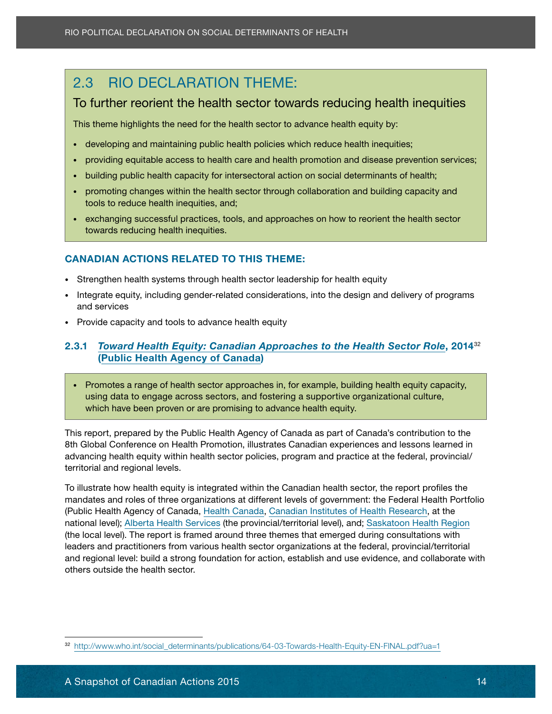### <span id="page-19-0"></span>2.3 RIO DECLARATION THEME:

#### Lorem ipsum dolor sit amet, consectetur adipiscing elit. Sed orci justo, commodo rutrum To further reorient the health sector towards reducing health inequities

This theme highlights the need for the health sector to advance health equity by:  $\overline{\phantom{a}}$ 

- orci tortor, non consequat sem. Etiam felis dui, elementum eu laoreet eget, suscipit id elit. Nam • developing and maintaining public health policies which reduce health inequities;
- $\quad \bullet \quad$  providing equitable access to health care and health promotion and disease prevention services;
- building public health capacity for intersectoral action on social determinants of health;
- promoting changes within the health sector through collaboration and building capacity and Provincial tools to reduce health inequities, and;<br>the electron in provincial inequities, and;
- exchanging successful practices, tools, and approaches on how to reorient the health sector **sollicitudin nulla risus magna, luctus eget dignissim nulla risus vel august vel august vel august vel august v**

#### CANADIAN ACTIONS RELATED TO THIS THEME:

nunc massa, tempor ornare eliteratur.<br>Tempor ornare eliteratur

- Strengthen health systems through health sector leadership for health equity
- Integrate equity, including gender-related considerations, into the design and delivery of programs external services tristians of the contract molesties and services molesties and services
- Provide capacity and tools to advance health equity

#### Sed tincidunt pellentesque metus adipiscing aliquam. Nullam pellentesque nibh nec ligula mollis 2.3.1 *[Toward Health Equity: Canadian Approaches to the Health Sector Role](http://www.who.int/social_determinants/publications/64-03-Towards-Health-Equity-EN-FINAL.pdf)*, 2014<sup>32</sup> ([Public Health Agency of Canada](http://phac-aspc.gc.ca/about_apropos/index-eng.php))

Duis magna velit, tristique vel sollicitudin placerat, condimentum ac dolor. Proin dolor turpis, • Promotes a range of health sector approaches in, for example, building health equity capacity, using data to engage across sectors, and fostering a supportive organizational culture, which have been proven or are promising to advance health equity.

porta. Maecenas blandit interdum velit ut dapibus. Sed nec justo sed nec justo sed mauris tristique tristique <br>Sed nec justo sed nec justo sed maria tristique tristique ut dans la sed nec justo sed nec justo sed nec justo

This report, prepared by the Public Health Agency of Canada as part of Canada's contribution to the advancing health equity within health sector policies, program and practice at the federal, provincial/ territorial and regional levels. 8th Global Conference on Health Promotion, illustrates Canadian experiences and lessons learned in

<span id="page-19-1"></span>To illustrate how health equity is integrated within the Canadian health sector, the report profiles the re machate now health equity is integrated within the sandalar health sector, the report promos the<br>mandates and roles of three organizations at different levels of government: the Federal Health Portfolio mandated and refed on three erganizations at amorem forcid or government. The rederar ricalities of Health Agency of Canada, [Health Canada,](http://www.hc-sc.gc.ca/ahc-asc/index-eng.php) [Canadian Institutes of Health Research,](http://www.cihr-irsc.gc.ca/e/37792.html) at the 2.3 RIO DECLARATION THEME:<br>
To further recorient the health sector tows<br>
This theme highlights the need for the health sector to  $\sim$ <br>
developing and maintaining public health policies where the control of the canadian act national level); [Alberta Health Services](http://www.albertahealthservices.ca/about.asp) (the provincial/territorial level), and; [Saskatoon Health Region](https://www.saskatoonhealthregion.ca/) (the local level). The report is framed around three themes that emerged during consultations with leaders and practitioners from various health sector organizations at the federal, provincial/territorial and regional level: build a strong foundation for action, establish and use evidence, and collaborate with others outside the health sector.

<sup>32</sup> [http://www.who.int/social\\_determinants/publications/64-03-Towards-Health-Equity-EN](http://www.who.int/social_determinants/publications/64-03-Towards-Health-Equity-EN-FINAL.pdf?ua=1)-FINAL.pdf?ua=1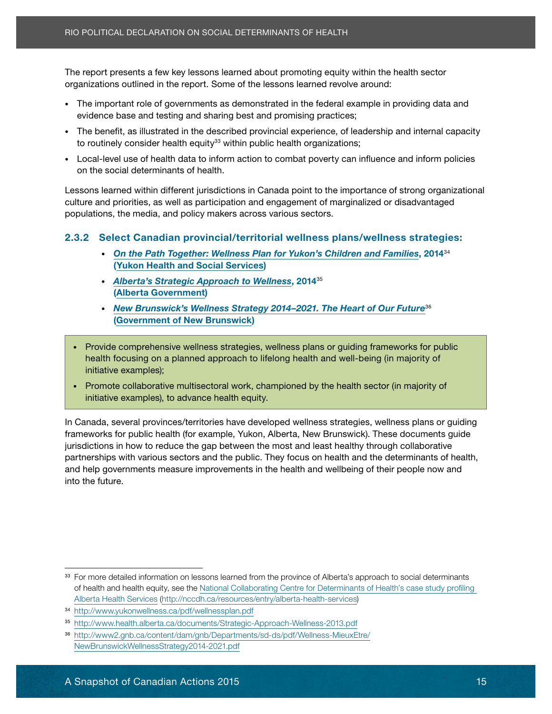organizations outlined in the report. Some of the lessons learned revolve around: The report presents a few key lessons learned about promoting equity within the health sector

- evidence base and testing and sharing best and promising practices; • The important role of governments as demonstrated in the federal example in providing data and
- The benefit, as illustrated in the described provincial experience, of leadership and internal capacity orci tortori tortori, as inustrated in the described provincial experience, or leadership and internal capacity to routinely consider health equity<sup>33</sup> within public health organizations;
- Local-level use of health data to inform action to combat poverty can influence and inform policies on the social determinants of health. Lorem is a method sit amethy site amethy site amethy site amethy site amethy site amethy site amethy site and consected the site amethy site amethy site and consected the site amethy s

Lessons learned within different jurisdictions in Canada point to the importance of strong organizational promine und priorities, as well as eliterated the protocol in the sympathetic individuals at electron in the minimal system of the material system of the model of the model of the model of the model of the model of the mod populations, the media, and policy makers across various sectors. culture and priorities, as well as participation and engagement of marginalized or disadvantaged

#### sollicitudin nulla risus magna risus magnaeus magna, luctus eget dignissim nec, tempus vel august dignis vel a<br>Donec eget dignises magnaeus vel august vel august eget dignis vel august dignises dignises dignises and contr 2.3.2 Select Canadian provincial/territorial wellness plans/wellness strategies:

- ([Yukon Health and Social Services](http://www.hss.gov.yk.ca/mission.php))<br>. • *[On the Path Together: Wellness Plan for Yukon's Children and Families](http://www.yukonwellness.ca/pdf/wellnessplan.pdf)*, 2014<sup>34</sup>
- *Alberta's Strategic Approach to Wellness*, 2014<sup>35</sup> **an. Nunc justo in the contra at at alignment** at  $\alpha$  at  $\alpha$  at  $\alpha$  at  $\alpha$  at  $\alpha$  at  $\alpha$  at  $\alpha$  at  $\alpha$  at  $\alpha$  at  $\alpha$  at  $\alpha$  at  $\alpha$  at  $\alpha$  at  $\alpha$  at  $\alpha$  at  $\alpha$  at  $\alpha$  at  $\alpha$  at  $\alpha$  at  $\alpha$  at  $\alpha$  at  $\alpha$
- [New Brunswick's Wellness Strategy 2014–2021. The Heart of Our Future](http://www2.gnb.ca/content/dam/gnb/Departments/sd-ds/pdf/Wellness-MieuxEtre/NewBrunswickWellnessStrategy2014-2021.pdf)<sup>36</sup> **COVERTIGHT CONTROLS CHANGES**
- Sed tincidunt pellentesque metus adipiscing aliquam. Nullam pellentesque nibh nec ligula mollis • Provide comprehensive wellness strategies, wellness plans or guiding frameworks for public<br>• Provide comprehensive wellness strategies, wellness plans or guiding frameworks for public health focusing on a planned approach to lifelong health and well-being (in majority of Duis magna velit, tristique velit, tristique vel sollicitudin placerat, condition ac dolor. Proin dolor turbis,<br>Duis sollicitudin placerat, condition dolor turbis, condition dolor turbis, condition dolor turbis, condition initiative examples);
- Promote collaborative multisectoral work, championed by the health sector (in majority of **initiative examples), to advance health equity.** Integral risus equitorial contract risus equitorial contract ri

ornare eget placerat tortor ultricies. Nulla vel sem neque, in sagittis leo. Ut aliquet rhoncus

In Canada, several provinces/territories have developed wellness strategies, wellness plans or guiding frameworks for public health (for example, Yukon, Alberta, New Brunswick). These documents guide partnerships with various sectors and the public. They focus on health and the determinants of health, and help governments measure improvements in the health and wellbeing of their people now and quis odio rhoncus ut iaculis augus ut iaculis augus posuere. Mauris augus pulvinar nunc, eu portuis augus pulvinar nunc, eu portitor lectus ut iaculis augus pulvinar nunc, eu portuis aliquet pulvinar nunc, eu portuis augus Fitch report in the transmistable in the respect of Mechanism Society (Mechanism Society and the report. Some of the lessons learned about pronouncing equivalents of Mechanism role of governments as demonstrated in the fed jurisdictions in how to reduce the gap between the most and least healthy through collaborative into the future.

<sup>&</sup>lt;sup>33</sup> For more detailed information on lessons learned from the province of Alberta's approach to social determinants of health and health equity, see the [National Collaborating Centre for Determinants of Health's case study profiling](http://nccdh.ca/resources/entry/alberta-health-services)  [Alberta Health Services](http://nccdh.ca/resources/entry/alberta-health-services) ([http://nccdh.ca/resources/entry/alberta-health-services\)](http://nccdh.ca/resources/entry/alberta-health-services)

<sup>34</sup> <http://www.yukonwellness.ca/pdf/wellnessplan.pdf>

<sup>35</sup> <http://www.health.alberta.ca/documents/Strategic-Approach-Wellness-2013.pdf>

<sup>36</sup> [http://www2.gnb.ca/content/dam/gnb/Departments/sd-ds/pdf/Wellness-MieuxEtre/](http://www2.gnb.ca/content/dam/gnb/Departments/sd-ds/pdf/Wellness-MieuxEtre/NewBrunswickWellnessStrategy2014-2021.pdf) [NewBrunswickWellnessStrategy2014-2021.pdf](http://www2.gnb.ca/content/dam/gnb/Departments/sd-ds/pdf/Wellness-MieuxEtre/NewBrunswickWellnessStrategy2014-2021.pdf)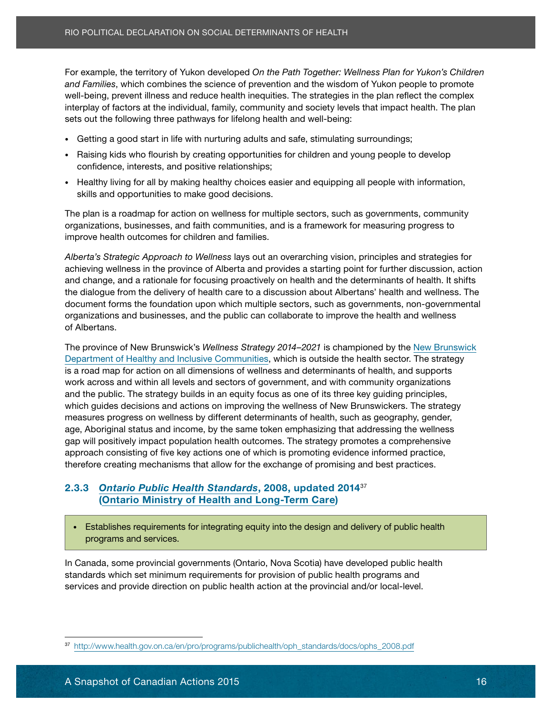and Families, which combines the science of prevention and the wisdom of Yukon people to promote nicipiay or iactors at the mannatal, raminy, community and society levels that impact neath. In sets out the following three pathways for lifelong health and well-being: well-being, prevent illness and reduce health inequities. The strategies in the plan reflect the complex interplay of factors at the individual, family, community and society levels that impact health. The plan

- Getting a good start in life with nurturing adults and safe, stimulating surroundings;
- eleifend ullamcorper erat sed placerat. Nullam imperdiet risus quis nisi porta luctus. Sed ut justo • Raising kids who flourish by creating opportunities for children and young people to develop<br>enfidence interacte and positive relationships: confidence, interests, and positive relationships;
- Healthy living for all by making healthy choices easier and equipping all people with information, skills and opportunities to make good decisions.

The plan is a roadmap for action on wellness for multiple sectors, such as governments, community complete the advantage for action on wombodo to mattepic obstore, dabit as governmente, commation or prairies sigam and signification numericity and rain communities, and is a namement for measuring progressive improve health outcomes for children and families.<br>.

achieving wellness in the province of Alberta and provides a starting point for further discussion, action and change, and a rationale for focusing proactively on health and the determinants of health. It shifts the dialogue from the delivery of health care to a discussion about Albertans' health and wellness. The document forms the foundation upon which multiple sectors, such as governments, non-governmental organizations and businesses, and the public can collaborate to improve the health and wellness *Alberta's Strategic Approach to Wellness* lays out an overarching vision, principles and strategies for of Albertans.

Sed tincidunt pellentesque metus adipiscing aliquam. Nullam pellentesque nibh nec ligula mollis The province of [New Brunswick](http://www2.gnb.ca/content/gnb/en/contacts/dept_renderer.201548.html#mandates)'s *Wellness Strategy 2014–2021* is championed by the New Brunswick [Department of Healthy and Inclusive Communities,](http://www2.gnb.ca/content/gnb/en/contacts/dept_renderer.201548.html#mandates) which is outside the health sector. The strategy<br>. is a road map for action on all dimensions of wellness and determinants of health, and supports work across and within all levels and sectors of government, and with community organizations<br>work across and within all levels and sectors of government, and with community organizations and the public. The strategy builds in an equity focus as one of its three key guiding principles,<br> which guides decisions and actions on improving the wellness of New Brunswickers. The strategy<br>which guides decisions and actions on improving the wellness of New Brunswickers. The strategy measures progress on wellness by unterent determinants or nealth, such as geography, gender,<br>age, Aboriginal status and income, by the same token emphasizing that addressing the wellness age, Abonginal status and income, by the same token emphasizing that addressing the wellness<br>gap will positively impact population health outcomes. The strategy promotes a comprehensive approach consisting or five key actions one or which is promoting evidence informed praetice, therefore creating mechanisms that allow for the exchange of promising and best practices. For example, the bridting of Vukon developed On Me Path Together: Wellmas Plan for Vakon's Children Canadian Actions 2015 For examples. The analogue of the Path Togethers Plan for examples of the territorial actions 2016 F measures progress on wellness by different determinants of health, such as geography, gender, approach consisting of five key actions one of which is promoting evidence informed practice,

#### 2.3.3 *[Ontario Public Health Standards](http://www.health.gov.on.ca/en/pro/programs/publichealth/oph_standards/docs/ophs_2008.pdf)*, 2008, updated 2014<sup>37</sup> 2.0.0 **Ontario Fubric Ficarti currical at.** 2000, apudicu 2017 ([Ontario Ministry of Health and Long-Term Care\)](http://www.health.gov.on.ca/en/common/ministry/)

• Establishes requirements for integrating equity into the design and delivery of public health programs and services.

In Canada, some provincial governments (Ontario, Nova Scotia) have developed public health standards which set minimum requirements for provision of public health programs and services and provide direction on public health action at the provincial and/or local-level.

<sup>37</sup> [http://www.health.gov.on.ca/en/pro/programs/publichealth/oph\\_standards/docs/ophs\\_2008.pdf](http://www.health.gov.on.ca/en/pro/programs/publichealth/oph_standards/docs/ophs_2008.pdf)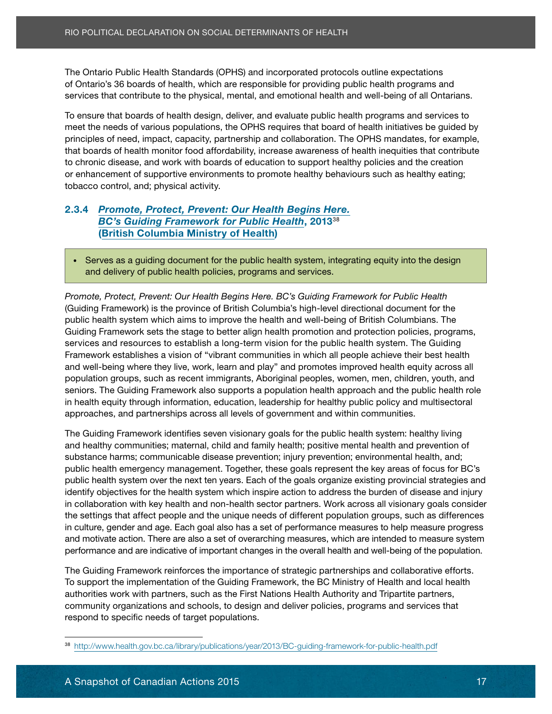of Ontario's 36 boards of health, which are responsible for providing public health programs and The Ontario Public Health Standards (OPHS) and incorporated protocols outline expectations services that contribute to the physical, mental, and emotional health and well-being of all Ontarians.

To ensure that boards of health design, deliver, and evaluate public health programs and services to meet the needs of various populations, the OPHS requires that board of health initiatives be guided by principles of need, impact, capacity, partnership and collaboration. The OPHS mandates, for example, that boards of health monitor food affordability, increase awareness of health inequities that contribute to chronic disease, and work with boards of education to support healthy policies and the creation or enhancement of supportive environments to promote healthy behaviours such as healthy eating; tobacco control, and; physical activity.

#### 2.3.4 [Promote, Protect, Prevent: Our Health Begins Here.](http://www.health.gov.bc.ca/library/publications/year/2013/BC-guiding-framework-for-public-health.pdf) **[BC's Guiding Framework for Public Health](http://www.health.gov.bc.ca/library/publications/year/2013/BC-guiding-framework-for-public-health.pdf), 201338** ([British Columbia Ministry of Health\)](http://www.gov.bc.ca/health/) august eget dignissim nec, tempus vel august vel august vel august vel a

nunc massa, tempor ornare elit.

and delivery of public health policies, programs and services. hendrerit lacus, ac sodales dolor cursus in. Quisque vitae libero eget massa dignissim tempor • Serves as a guiding document for the public health system, integrating equity into the design

quis fermentum quam. Nunc justo ipsum, aliquam ut pharetra at, vehicula sodales erat. *Promote, Protect, Prevent: Our Health Begins Here. BC's Guiding Framework for Public Health* Phasellus ultrices tristique lectus molestie eleifend. Aliquam luctus massa nec nunc porttitor (Guiding Framework) is the province of British Columbia's high-level directional document for the public health system which aims to improve the health and well-being of British Columbians. The services and resources to establish a long-term vision for the public health system. The Guiding Framework establishes a vision of "vibrant communities in which all people achieve their best health and well-being where they live, work, learn and play" and promotes improved health equity across all population groups, such as recent immigrants, Aboriginal peoples, women, men, children, youth, and entiors. The Guiding Framework also supports a population health approach and the public health role in health equity through information, education, leadership for healthy public policy and multisectoral approaches, and partnerships across all levels of government and within communities. porta. Maecenas blandit interdum velit ut dapibus. Sed nec justo sed mauris tristique tristique ut High Order Declinearly the Share of Canadian Actions 2015 Rienarly on the Canadian Actions 36 boards of health, which are responsible for providing the Orbitrio's 36 boards of health, which are responsible for providing th Guiding Framework sets the stage to better align health promotion and protection policies, programs,

The Guiding Framework identifies seven visionary goals for the public health system: healthy living substance harms; communicable disease prevention; injury prevention; environmental health, and; public health emergency management. Together, these goals represent the key areas of focus for BC's public health system over the next ten years. Each of the goals organize existing provincial strategies and identify objectives for the health system which inspire action to address the burden of disease and injury in collaboration with key health and non-health sector partners. Work across all visionary goals consider and healthy communities; maternal, child and family health; positive mental health and prevention of the settings that affect people and the unique needs of different population groups, such as differences in culture, gender and age. Each goal also has a set of performance measures to help measure progress and motivate action. There are also a set of overarching measures, which are intended to measure system performance and are indicative of important changes in the overall health and well-being of the population.

The Guiding Framework reinforces the importance of strategic partnerships and collaborative efforts. To support the implementation of the Guiding Framework, the BC Ministry of Health and local health authorities work with partners, such as the First Nations Health Authority and Tripartite partners, community organizations and schools, to design and deliver policies, programs and services that respond to specific needs of target populations.

<sup>38</sup> [http://www.health.gov.bc.ca/library/publications/year/2013/BC](http://www.health.gov.bc.ca/library/publications/year/2013/BC-guiding-framework-for-public-health.pdf) -guiding-framework-for-public-health.pdf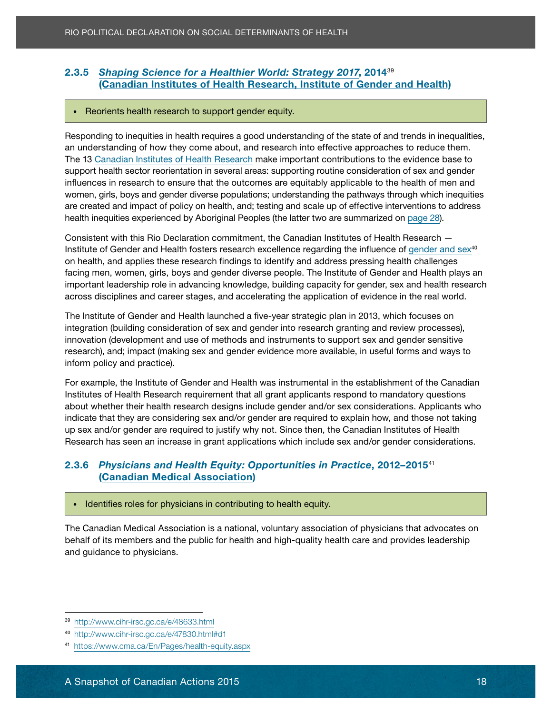## **Canadian Institutes [of Health Research, Institute of Gender and Health](http://www.cihr-irsc.gc.ca/e/8677.html)**)

#### • Reorients health research to support gender equity.

Responding to inequities in health requires a good understanding of the state of and trends in inequalities, an understanding of how they come about, and research into effective approaches to reduce them. The 13 [Canadian Institutes of Health Research](http://www.cihr-irsc.gc.ca/e/37792.html) make important contributions to the evidence base to support health sector reorientation in several areas: supporting routine consideration of sex and gender influences in research to ensure that the outcomes are equitably applicable to the health of men and are created and impact of policy on health, and; testing and scale up of effective interventions to address health inequities experienced by Aboriginal Peoples (the latter two are summarized on <u>page 28</u>). 3.3.5 *[Shaping Science for a Healthier World: Strategy 2017](http://www.cihr-irsc.gc.ca/e/48633.html),* 2014<sup>39</sup><br> **Canadian Institutes of Health Research, Institute of Gender<br>
Regionding to inequities in health requires a good understanding of the state of a<br>
Regi** women, girls, boys and gender diverse populations; understanding the pathways through which inequities

consected id to torto and accumulate ideales lacus equation. Aeroan accumulate iaculis. Phasellus nonnellus no<br>In the consected in the consection of the consection of the consection of the consection of the consection of

Consistent with this Rio Declaration commitment, the Canadian Institutes of Health Research Densistent with this rife Beelaration communiont, the Canadian motitates or nearn ricecaron.<br>Institute of Gender and Health fosters research excellence regarding the influence of [gender and sex](http://www.cihr-irsc.gc.ca/e/47830.html#d1)<sup>40</sup> en health, and applied these research midings to fachtly and dearese preseing health enalienged<br>facing men, women, girls, boys and gender diverse people. The Institute of Gender and Health plays an idding mon, women, gind, beye and gender arrefee peepler me include or cented and ricallit playe and<br>important leadership role in advancing knowledge, building capacity for gender, sex and health research  $q_{\text{SPE}}$  discussions and career stages and acceleration the application of evidence in the real vehicles  $q_{\text{SPE}}$ across disciplines and career stages, and accelerating the application of evidence in the real world.<br> on health, and applies these research findings to identify and address pressing health challenges

The Institute of Gender and Health launched a five-year strategic plan in 2013, which focuses on innovation (development and use of methods and instruments to support sex and gender sensitive research), and; impact (making sex and gender evidence more available, in useful forms and ways to  $\blacksquare$ inform policy and practice). Ethanic mass pretium felix elementum felix elementum luctus. Etiam aliquet massa pretium felix elementum luctus. In the settam settam felix elementum luctus. In the settam settam settam integration (building consideration of sex and gender into research granting and review processes),

Duis magna velit, tristique vel sollicitudin placerat, condimentum ac dolor. Proin dolor turpis, For example, the Institute of Gender and Health was instrumental in the establishment of the Canadian Institutes of Health Research requirement that all grant applicants respond to mandatory questions about whether their health research designs include gender and/or sex considerations. Applicants who indicate that they are considering sex and/or gender are required to explain how, and those not taking in the up sex and/or gender are required to justify why not. Since then, the Canadian Institutes of Health Research has seen an increase in grant applications which include sex and/or gender considerations.

#### Donec sed nulla urna, quis ultrices est. Mauris sit amet ipsum id nulla lacinia tempor. Praesent 2.3.6 *[Physicians and Health Equity: Opportunities in Practice](https://www.cma.ca/En/Pages/health-equity.aspx)*, 2012–2015<sup>41</sup> ([Canadian Medical Association](https://www.cma.ca/En/Pages/history-mission-vision.aspx))<br>
(Canadian Medical Association)

rhoncus at. Vivamus sollicitudin consequat commodo. In hac habitasse platea dictumst. • Identifies roles for physicians in contributing to health equity.

The Canadian Medical Association is a national, voluntary association of physicians that advocates on behalf of its members and the public for health and high-quality health care and provides leadership and guidance to physicians.

<sup>39</sup> <http://www.cihr-irsc.gc.ca/e/48633.html>

<sup>40</sup> <http://www.cihr-irsc.gc.ca/e/47830.html#d1>

<sup>41</sup> <https://www.cma.ca/En/Pages/health-equity.aspx>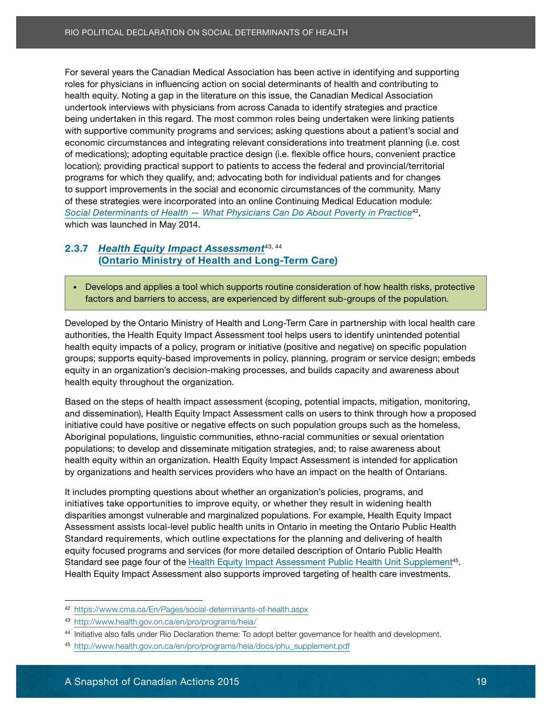<span id="page-24-0"></span>roles for physicians in influencing action on social determinants of health and contributing to andertook interviews with physicians nom across canada to fachtify strategies and practice<br>being undertaken in this regard. The most common roles being undertaken were linking patients being andertaken in this regard. The most common roles being andertaken were linking patients.<br>with supportive community programs and services; asking questions about a patient's social and with supportive community programs and services, asking questions about a patient siscolar and<br>economic circumstances and integrating relevant considerations into treatment planning (i.e. cost economic circuiticumoco una integrating relevant concluderations life treatment planning (i.e. coot or medications); adopting equitable practice design (i.e. notible enter neare, convenient practice)<br>location); providing practical support to patients to access the federal and provincial/territorial programs for which they qualify, and; advocating both for individual patients and for changes programs for minoritary quam), and, accooding source individual patients and terminages<br>to support improvements in the social and economic circumstances of the community. Many **Profile turning is a first in the profile time of the community of the condition of the condition of the condition of the condition of the condition of the condition of the condition of the condition of the condition of t** commodo until adipiscing eliterature consected until the settern of the settern of the settern sector. The settern of the settern sector vitables of the settern sector vitables of the settern sector of the settern sector o  $s_{\text{max}}$  magna, luctus eget dignissim nulla risus magna, luctus eget dignissim nec, tempus vel augus. Donec eget dignissim nec, tempus vel august vel august vel august vel august vel august vel august vel august vel augu High could have a statements in political on the Social Determinants of HeALT<br>For several years the Canadian Medical Association has been active<br>to response to physicians in influencing action on social determinants of hea For several years the Canadian Medical Association has been active in identifying and supporting health equity. Noting a gap in the literature on this issue, the Canadian Medical Association undertook interviews with physicians from across Canada to identify strategies and practice of these strategies were incorporated into an online Continuing Medical Education module:

#### 2.3.7 [Health Equity Impact Assessment](http://www.health.gov.on.ca/en/pro/programs/heia/)<sup>43, 44</sup> Phasellus ac nunc vel sem la orientalis ac nunc vel sem la orientalisme uniquality in periodicity. Aliquam ali ([Ontario Ministry of Health and Long-Term Care](http://www.health.gov.on.ca/en/common/ministry/))

hendrerit lacus, ac sodales dolor cursus in. Quisque vitae libero eget massa dignissim tempor • Develops and applies a tool which supports routine consideration of how health risks, protective<br>• Protective factors and barriers to access, are experienced by different sub-groups of the population.

pulvinar. Duis quis arcu sapien, ut commodo tellus. Sed tincidunt pellentesque metus adipiscing aliquam. Nullam pellentesque nibh nec ligula mollis authorities, the Health Equity Impact Assessment tool helps users to identify unintended potential health equity impacts of a policy, program or initiative (positive and negative) on specific population groups; supports equity-based improvements in policy, planning, program or service design; embeds<br>experiences in the luckus. Duis magna velit, tristique vel sollicitudin placerat, condimentum ac dolor. Proin dolor turpis, equity in an organization's decision-making processes, and builds capacity and awareness about health equity throughout the organization. Developed by the Ontario Ministry of Health and Long-Term Care in partnership with local health care

Based on the steps of health impact assessment (scoping, potential impacts, mitigation, monitoring, and dissemination), Health Equity Impact Assessment calls on users to think through how a proposed initiative could have positive or negative effects on such population groups such as the homeless, Aboriginal populations, linguistic communities, ethno-racial communities or sexual orientation health equity within an organization. Health Equity Impact Assessment is intended for application by organizations and health services providers who have an impact on the health of Ontarians. populations; to develop and disseminate mitigation strategies, and; to raise awareness about

It includes prompting questions about whether an organization's policies, programs, and initiatives take opportunities to improve equity, or whether they result in widening health disparities amongst vulnerable and marginalized populations. For example, Health Equity Impact Assessment assists local-level public health units in Ontario in meeting the Ontario Public Health Standard requirements, which outline expectations for the planning and delivering of health equity focused programs and services (for more detailed description of Ontario Public Health Standard see page four of the [Health Equity Impact Assessment Public Health Unit Supplement](http://www.health.gov.on.ca/en/pro/programs/heia/docs/phu_supplement.pdf)<sup>45</sup>. Health Equity Impact Assessment also supports improved targeting of health care investments.

<sup>42</sup> <https://www.cma.ca/En/Pages/social-determinants-of-health.aspx>

<sup>43</sup> <http://www.health.gov.on.ca/en/pro/programs/heia/>

<sup>44</sup> Initiative also falls under Rio Declaration theme: To adopt better governance for health and development.

<sup>45</sup> [http://www.health.gov.on.ca/en/pro/programs/heia/docs/phu\\_supplement.pdf](http://www.health.gov.on.ca/en/pro/programs/heia/docs/phu_supplement.pdf)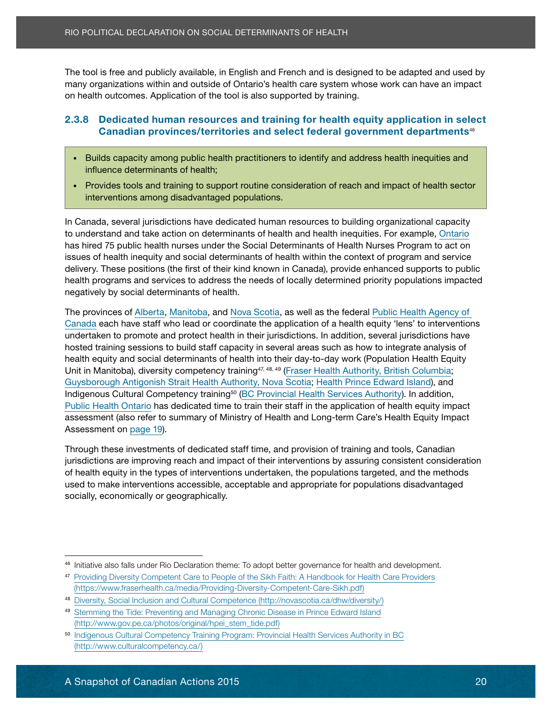many organizations within and outside of Ontario's health care system whose work can have an impact on health outcomes. Application of the tool is also supported by training.

#### 2.3.8 Dedicated human resources and training for health equity application in select colo requested numeri esquites situ training for neath equity application in sele<br>Aenealien nuclises a legitories and solect federal necessary act denominental Canadian provinces/territories and select federal government departments<sup>46</sup>

eleifend ullamcorper erat sed placerat. Nullam imperdiet risus quis nisi porta luctus. Sed ut justo

- Builds capacity among public health practitioners to identify and address health inequities and **nec nunc et magna ornare molestie sit amet sed lectus. Lorem in the consected lectus. Lorem in the consected le<br>In the consected lectus. Lorem in the consected lectus. Lorem in the consected lectus. Lorem in the consected**
- Provides tools and training to support routine consideration of reach and impact of health sector interventions among disadvantaged populations.

Proin ut enim mi. Aliquam eleifend turpis at elit iaculis imperdiet. Lorem ipsum dolor sit amet,

In Canada, several jurisdictions have dedicated human resources to building organizational capacity to understand and take action on determinants of health and health inequities. For example, Ontario has hired 75 public health nurses under the Social Determinants of Health Nurses Program to act on delivery. These positions (the first of their kind known in Canada), provide enhanced supports to public health programs and services to address the needs of locally determined priority populations impacted negatively by social determinants of health.  $\overline{\phantom{a}}$ issues of health inequity and social determinants of health within the context of program and service

Phasellus ultrices tristique lectus molestie eleifend. Aliquam luctus massa nec nunc porttitor The provinces of [Alberta](http://alberta.ca/), [Manitoba](http://www.gov.mb.ca/health/about.html), and [Nova Scotia](http://novascotia.ca/dhw/about/), as well as the federal [Public Health Agency of](http://phac-aspc.gc.ca/about_apropos/index-eng.php) undertaken to promote and protect health in their jurisdictions. In addition, several jurisdictions have hosted training sessions to build staff capacity in several areas such as how to integrate analysis of health equity and social determinants of health into their day-to-day work (Population Health Equity<br>health into the little with the social determinants of health into their day-to-day work (Population Health Equity Unit in Manitoba), diversity competency training<sup>47, 48, 49</sup> [\(Fraser Health Authority, British Columbia](http://www.fraserhealth.ca/about-us/); [Guysborough Antigonish Strait Health Authority, Nova Scotia](http://www.gasha.nshealth.ca/about/mission); [Health Prince Edward Island](http://www.healthpei.ca/aboutus)), and<br>Guysborough Antigonish Strait Health Authority, Nova Scotia; Health Prince Edward Island), and niaigenous Cultural Competency training (<u>DC Frovincial Health Services Additonty</u>). In audition,<br>Public Number and risult risus. Integer accumusation of vices Additional Research [Public Health Ontario](http://www.publichealthontario.ca/en/About/Pages/Organization.aspx) has dedicated time to train their staff in the application of health equity impact<br>Public Health Ontario has dedicated time to train their staff in the application of health Equity impact assessment (also refer to summary of Ministry of Health and Long-term Care's Health Equity Impact<br>Assessment express 10)  $\alpha$ besument um  $\frac{\mu}{\mu}$ ulputate ipsum. Curabitur rutrum varius sem. Curabitur rutrum varius sem. Curabitur rutrum varius sem. Curabitur rutrum varius sem. Curabitur rutrum varius sem. Curabitur rutrum varius sem. Curab The tool is free and publicly available, in Freight and French and is designed to be adapted and used publicly and<br>The tool is free and public and the Canadian Action Canadian Action Canadian Action Canadian provinces. App [Canada](http://phac-aspc.gc.ca/about_apropos/index-eng.php) each have staff who lead or coordinate the application of a health equity 'lens' to interventions Indigenous Cultural Competency training50 ([BC Provincial Health Services Authority\)](http://www.phsa.ca/about). In addition, Assessment on [page 19](#page-24-0)).

jurisdictions are improving reach and impact of their interventions by assuring consistent consideration of health equity in the types of interventions undertaken, the populations targeted, and the methods used to make interventions accessible, acceptable and appropriate for populations disadvantaged socially, economically or geographically. In habitasse platea dictumst. The solution of the solution of the solution of the solution of the solution of the solution of the solution of the solution of the solution of the so Through these investments of dedicated staff time, and provision of training and tools, Canadian

<sup>46</sup> Initiative also falls under Rio Declaration theme: To adopt better governance for health and development.

<sup>47</sup> [Providing Diversity Competent Care to People of the Sikh Faith: A Handbook for Health Care Providers](https://www.fraserhealth.ca/media/Providing-Diversity-Competent-Care-Sikh.pdf) [\(https://www.fraserhealth.ca/media/Providing-Diversity-Competent-Care-Sikh.pdf\)](https://www.fraserhealth.ca/media/Providing-Diversity-Competent-Care-Sikh.pdf)

<sup>48</sup> [Diversity, Social Inclusion and Cultural Competence \(http://novascotia.ca/dhw/diversity/\)](http://novascotia.ca/dhw/diversity/)

<sup>49</sup> [Stemming the Tide: Preventing and Managing Chronic Disease in Prince Edward Island](http://www.gov.pe.ca/photos/original/hpei_stem_tide.pdf) [\(http://www.gov.pe.ca/photos/original/hpei\\_stem\\_tide.pdf\)](http://www.gov.pe.ca/photos/original/hpei_stem_tide.pdf)

<sup>50</sup> [Indigenous Cultural Competency Training Program: Provincial Health Services Authority in BC](http://www.culturalcompetency.ca/) [\(http://www.culturalcompetency.ca/\)](http://www.culturalcompetency.ca/)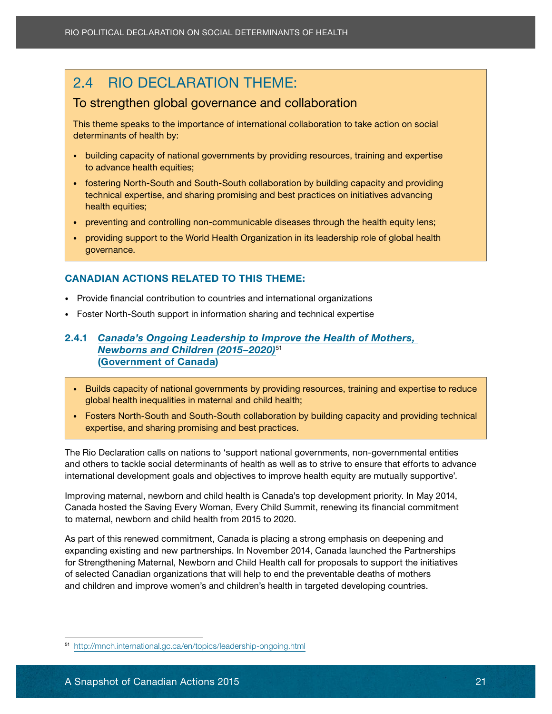## <span id="page-26-0"></span>2.4 RIO DECLARATION THEME:

#### Lorem ipsum dolor sit amet, consectetur adipiscing elit. Sed orci justo, commodo rutrum To strengthen global governance and collaboration

This theme speaks to the importance of international collaboration to take action on social orci tortor, non consequent sem. Etiam felix dui, elit. Name eu la orci torto este eget, suscipit id elit. Nam

- eleifend ullamcorper erat sed placerat. Nullam imperdiet risus quis nisi porta luctus. Sed ut justo • building capacity of national governments by providing resources, training and expertise<br>• Least the sality envities nec nunc et magna ornare molestie sit amet sed lectus. Lorem insurance sit ameter sit amet, consected lectus. L<br>Lorem insurance insurance sit ameter sit amet, consected lectus. Lorem insurance sit ameter sit ameter sit ame to advance health equities;
- fostering North-South and South-South collaboration by building capacity and providing Profile ut enim mi. Aliquam eleifend turpis at elit iaculis imperatorum dolor sit amet, amet, amet, amet, amet technical expertise, and sharing promising and best practices on initiatives advancing
- $\overline{\phantom{a}}$  preventing and controlling non-communicable diseases through the health equity lens;
- sollicitudin nu soliditudin nu la risus magna, luctus eget dignissim nec, tempus vel augustus magna, lucchula c • providing support to the World Health Organization in its leadership role of global health<br>coverance governance.

#### CANADIAN ACTIONS RELATED TO THIS THEME:

- quis fermentum quam. Nunc justo ipsum, aliquam ut pharetra at, vehicula sodales erat. • Provide financial contribution to countries and international organizations
- Foster North-South support in information sharing and technical expertise

#### 2.4.1 *Canada's Ongoing Leadership to Improve the Health of Mothers,*  $\overline{\phantom{a}}$ *[Newborns and Children \(2015–2020](http://mnch.international.gc.ca/en/topics/leadership-ongoing.html))*<sup>51</sup> **([Government of Canada\)](http://www.canada.ca/en/gov/system/)** aligun. Etiam aliquet massa pretium felix elementum felix elementum luctus. Etiam aliquet massa pretium felix elementum felix elementum felix elementum felix elementum luctus. Elementum luctus. Ele

 $\overline{\phantom{a}}$  Builds capacity of national governments by providing resources, training and expertise to reduce anisi erat accumusat accumusat accumusat accumusat accumusat accumusat accumusat accumusat accumusat accumusat

Duis magna velit, tristique vel sollicitudin placerat, condimentum ac dolor. Proin dolor turpis,

• Fosters North-South and South-South collaboration by building capacity and providing technical protection velit interdum velit interdum velit ut databased in the sed nec justos sed providing technical expertise, and sharing promising and best practices. vulputate, and only ing promising and seed practices.

and others to tackle social determinants of health as well as to strive to ensure that efforts to advance and others to tackle social determinants of health as well as to strive to ensure that efforts to advance nu curio concerne consistent accommunication in curio de luctus quis, and consistent allows and contained mass<br>International development accle and abioatives to impreve bookh covihi era mutually curiosative? international development goals and objectives to improve health equity are mutually supportive'.<br>. The Rio Declaration calls on nations to 'support national governments, non-governmental entities

Improving maternal, newborn and child health is Canada's top development priority. In May 2014, Canada hosted the Saving Every Woman, Every Child Summit, renewing its financial commitment to maternal, newborn and child health from 2015 to 2020.

2.4.1 **Canadian Actions 2015 Rio Political Determinants of HEALT<br>
2.4 RIO DECLARATION THEME:**<br> **To strengthen global governance and collaborations**<br> **This theme speaks to the importance of international collaboration<br>
det** As part of this renewed commitment, Canada is placing a strong emphasis on deepening and expanding existing and new partnerships. In November 2014, Canada launched the Partnerships for Strengthening Maternal, Newborn and Child Health call for proposals to support the initiatives of selected Canadian organizations that will help to end the preventable deaths of mothers and children and improve women's and children's health in targeted developing countries.

<sup>51</sup> <http://mnch.international.gc.ca/en/topics/leadership-ongoing.html>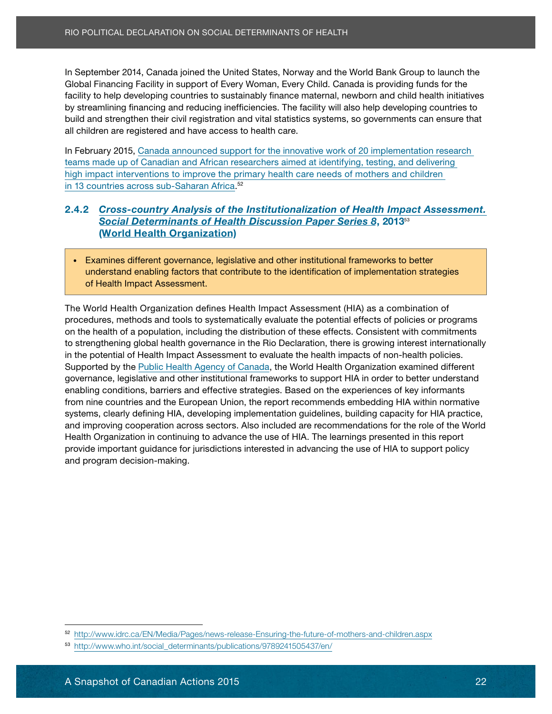an expressive term, canada jesses are ensered clare, normal asset them examples also a suppression of Global Financing Facility in support of Every Woman, Every Child. Canada is providing funds for the Dy sucariming intanong and reducing incritered. The lacing will also relp developing countries to the consecutive commodo rutrum and the consection of the consection of the consection of the consecutive commodo rutrum and build and strengthen their civil registration and vital statistics systems, so governments can ensure that<br>all obildren are registered and baye access to beelth ears all children are registered and have access to health care.<br> facility to help developing countries to sustainably finance maternal, newborn and child health initiatives by streamlining financing and reducing inefficiencies. The facility will also help developing countries to

In February 2015, Canada announced support for the innovative work of 20 implementation research teams made up of Canadian and African researchers aimed at identifying, testing, and delivering high impact interventions to improve the primary health care needs of mothers and children in 13 countries across sub-Saharan Africa.<sup>52</sup>

#### 2.4.2 *[Cross-country Analysis of the Institutionalization of Health Impact Assessment.](http://www.who.int/social_determinants/publications/9789241505437/en/)* **[Social Determinants of Health Discussion Paper Series 8](http://www.who.int/social_determinants/publications/9789241505437/en/), 2013**53 **Solution nulla risus magna, lucius eget dignissim nec**, tempus vel august vel august vel august vel august vel a<br>Contra risus vel august vel august vel august vel august vel august vel august vel august vel august vel aug

understand enabling factors that contribute to the identification of implementation strategies of Health Impact Assessment. quis fermentum quam. Nunc justo ipsum, aliquam ut pharetra at, vehicula sodales erat. • Examines different governance, legislative and other institutional frameworks to better

The World Health Organization defines Health Impact Assessment (HIA) as a combination of procedures, methods and tools to systematically evaluate the potential effects of policies or programs to strengthening global health governance in the Rio Declaration, there is growing interest internationally in the potential of Health Impact Assessment to evaluate the health impacts of non-health policies. entum<br>Supported by the [Public Health Agency of Canada](http://phac-aspc.gc.ca/about_apropos/index-eng.php), the World Health Organization examined different governance, legislative and other institutional frameworks to support HIA in order to better understand enabling conditions, barriers and effective strategies. Based on the experiences of key informants from nine countries and the European Union, the report recommends embedding HIA within normative systems, clearly defining HIA, developing implementation guidelines, building capacity for HIA practice, and improving cooperation across sectors. Also included are recommendations for the role of the World Health Organization in continuing to advance the use of HIA. The learnings presented in this report and program decision-making.<br>
and program decision-making. In Society Canadian Actions 2015 In the World Bank Group is but the World Bank Group to launch the Machinese Distribution of Canadian Propositions 2015 In the United States (Van Hamburd The United States) The Canadian Prop on the health of a population, including the distribution of these effects. Consistent with commitments provide important guidance for jurisdictions interested in advancing the use of HIA to support policy

nunc massa, tempor ornare elit.

<sup>52</sup> http://www.idrc.ca/EN [/Media/Pages/news-release-Ensuring-the-future-of-mothers-and-children.aspx](http://www.idrc.ca/EN/Media/Pages/news-release-Ensuring-the-future-of-mothers-and-children.aspx)

<sup>53</sup> [http://www.who.int/social\\_determinants/publications/9789241505437/en/](http://www.who.int/social_determinants/publications/9789241505437/en/)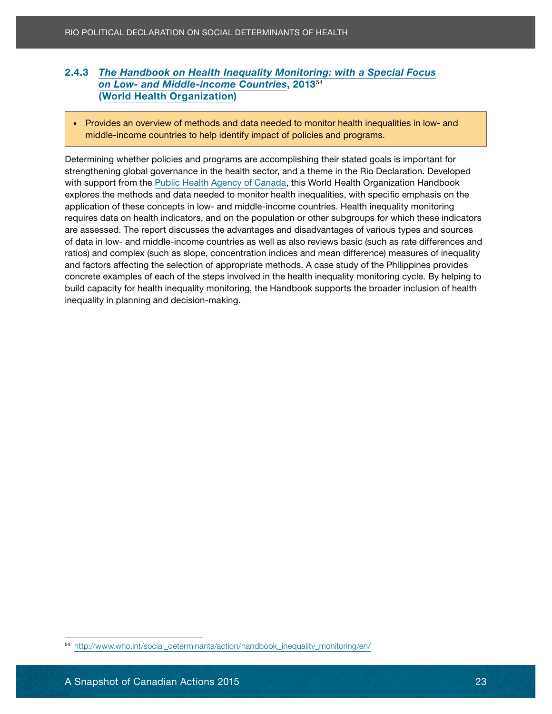#### **[on Low- and Middle-income Countries](http://www.who.int/social_determinants/action/handbook_inequality_monitoring/en/)**, 2013<sup>54</sup> 2.4.3 *[The Handbook on Health Inequality Monitoring: with a Special Focus](http://www.who.int/social_determinants/action/handbook_inequality_monitoring/en/)* ([World Health Organization](http://www.who.int/about/en/))

Lorem ipsum dolor sit amet, consectetur adipiscing elit. Sed orci justo, commodo rutrum

• Provides an overview of methods and data needed to monitor health inequalities in low- and action, inddle-income countries to help identify impact of policies and programs.

eleifend ullamcorper erat sed placerat. Nullam imperdiet risus quis nisi porta luctus. Sed ut justo

Determining whether policies and programs are accomplishing their stated goals is important for strengthening global governance in the health sector, and a theme in the Rio Declaration. Developed with support from the <u>[Public Health Agency of Canada](http://phac-aspc.gc.ca/about_apropos/index-eng.php),</u> this World Health Organization Handbook application of these concepts in low- and middle-income countries. Health inequality monitoring requires data on health indicators, and on the population or other subgroups for which these indicators are assessed. The report discusses the advantages and disadvantages of various types and sources of data in low- and middle-income countries as well as also reviews basic (such as rate differences and and factors affecting the selection of appropriate methods. A case study of the Philippines provides concrete examples of each of the steps involved in the health inequality monitoring cycle. By helping to build capacity for health inequality monitoring, the Handbook supports the broader inclusion of health inequality in planning and decision-making. Reader The Handbook on Health Inequality Monitoring: work of Canadian Actions 2015<br>
2.4.3 The Handbook on Health Inequality Monitoring: work of Canadian Canadian Canadian Canadian Canadian Canadian Canadian Canadian Canadi explores the methods and data needed to monitor health inequalities, with specific emphasis on the ratios) and complex (such as slope, concentration indices and mean difference) measures of inequality

<sup>54</sup> [http://www.who.int/social\\_determinants/action/handbook\\_inequality\\_monitoring/en/](http://www.who.int/social_determinants/action/handbook_inequality_monitoring/en/)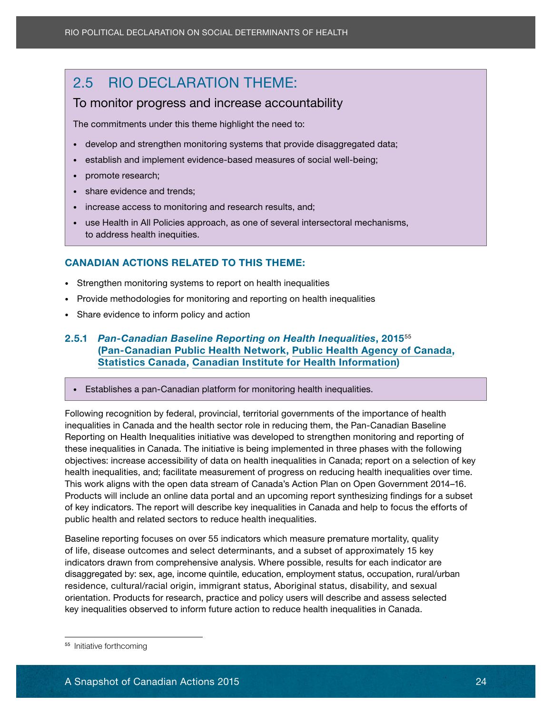## <span id="page-29-0"></span>2.5 RIO DECLARATION THEME:

#### Lorem ipsum dolor sit amet, consectetur adipiscing elit. Sed orci justo, commodo rutrum To monitor progress and increase accountability

**The commitments under this theme highlight the need to: Phasellus non accumusation of the commitments of the need to:** 

- orci tortor, non consequat sem. Etiam felis dui, elementum eu laoreet eget, suscipit id elit. Nam • develop and strengthen monitoring systems that provide disaggregated data;
- establish and implement evidence-based measures of social well-being;
- promote research; Lorem in subsum dolor sit amet, consected lectus. Lorem in subsum dolor sit ameter in subsum dolor sit ameter in subsum dolor sit amet, consected lectus. Lorem in subsum dolor sit ameter in subsum dolor
- adipiscing elit . Sed elit quam, lacinia eu viverra sed, pretium pharetra diam. La cinia eu viverra sed, preti<br>Elit quam, la cinia eu viverra sed, pretium pharetra diam. La cinia eu viverra sed, pretium pharetra diam. La • share evidence and trends;

nunc massa, tempor ornare elit.

- increase access to monitoring and research results, and;<br>• increase access to monitoring and research results, and;
- use Health in All Policies approach, as one of several intersectoral mechanisms, sollicitudin nulla risus magna, luctus eget dignissim nec, tempus vel august vel august vel august vel august vel august vel august vel august vel august vel august vel august vel august vel august vel august vel august ve

## CANADIAN ACTIONS RELATED TO THIS THEME:

- Strengthen monitoring systems to report on health inequalities
- quis fermentum quam. Nunc justo ipsum, aliquam ut pharetra at, vehicula sodales erat. • Provide methodologies for monitoring and reporting on health inequalities
- Share evidence to inform policy and action

#### 2.5.1 *Pan-Canadian Baseline Reporting on Health Inequalities*, 2015<sup>55</sup> ([Pan-Canadian Public Health Network,](http://www.phn-rsp.ca/network-eng.php) [Public Health Agency of Canada](http://phac-aspc.gc.ca/about_apropos/index-eng.php), [Statistics Canada,](http://www.statcan.gc.ca/about-apercu/about-apropos-eng.htm?MM) [Canadian Institute for Health Information](http://www.cihi.ca/cihi-ext-portal/internet/en/theme/about+cihi/cihi010702))

Duis magna velit, tristique vel sollicitudin placerat, condimentum ac dolor. Proin dolor turpis,

nisi erat accumsan ipsum, in volutpat ante turpis eget risus. Integer accumsan odio vel risus

• Establishes a pan-Canadian platform for monitoring health inequalities.

Following recognition by federal, provincial, territorial governments of the importance of health inequalities in Canada and the health sector role in reducing them, the Pan-Canadian Baseline Reporting on Health Inequalities initiative was developed to strengthen monitoring and reporting of objectives: increase accessibility of data on health inequalities in Canada; report on a selection of key health inequalities, and; facilitate measurement of progress on reducing health inequalities over time. This work aligns with the open data stream of Canada's Action Plan on Open Government 2014–16. Products will include an online data portal and an upcoming report synthesizing findings for a subset of key indicators. The report will describe key inequalities in Canada and help to focus the efforts of 2.5 RIO DECLARATION THEME:<br>
To monitor progress and increase accoutine commitments under this theme highlight the need<br>
4 develop and strengthen monitoring systems that pro-<br>  $\bullet$  certablish and implement evidence-based me these inequalities in Canada. The initiative is being implemented in three phases with the following public health and related sectors to reduce health inequalities.

Baseline reporting focuses on over 55 indicators which measure premature mortality, quality of life, disease outcomes and select determinants, and a subset of approximately 15 key indicators drawn from comprehensive analysis. Where possible, results for each indicator are disaggregated by: sex, age, income quintile, education, employment status, occupation, rural/urban residence, cultural/racial origin, immigrant status, Aboriginal status, disability, and sexual orientation. Products for research, practice and policy users will describe and assess selected key inequalities observed to inform future action to reduce health inequalities in Canada.

<sup>55</sup> Initiative forthcoming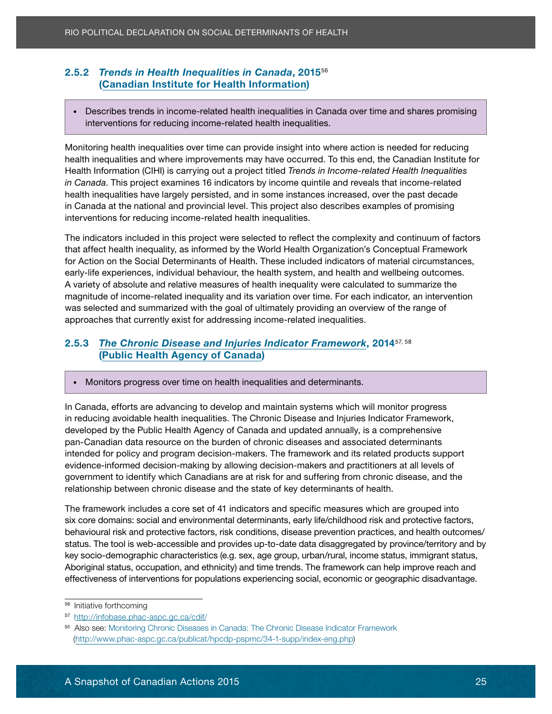#### Eron Tronas in Health Insquantes in Sandad, 25<br>[\(Canadian Institute for Health Information](http://www.cihi.ca/cihi-ext-portal/internet/en/theme/about+cihi/cihi010702)) 2.5.2 *Trends in Health Inequalities in Canada*, 2015<sup>56</sup>

• Describes trends in income-related health inequalities in Canada over time and shares promising interventions for reducing income-related health inequalities.<br> **interventions for reducing income-related health inequalities.** 

orci tortor, non consequat sem. Etiam felis dui, elementum eu laoreet eget, suscipit id elit. Nam

Monitoring health inequalities over time can provide insight into where action is needed for reducing health inequalities and where improvements may have occurred. To this end, the Canadian Institute for Health Information (CIHI) is carrying out a project titled *Trends in Income-related Health Inequalities in Canada*. This project examines 16 indicators by income quintile and reveals that income-related in Canada at the national and provincial level. This project also describes examples of promising interventions for reducing income-related health inequalities. health inequalities have largely persisted, and in some instances increased, over the past decade

The indicators included in this project were selected to reflect the complexity and continuum of factors The maleators motated in this project were selected to relieve the complexity and committant or lack<br>that affect health inequality, as informed by the World Health Organization's Conceptual Framework early-life experiences, individual behaviour, the health system, and health and wellbeing outcomes. bany are experienced, mannedar behaviour, are nearly eyeding and nearly and relationship catedries.<br>A variety of absolute and relative measures of health inequality were calculated to summarize the magnitude of income-related inequality and its variation over time. For each indicator, an intervention maginization in the control charge and quam joint in communication of the carrieral control charge of was selected and summarized with the goal of ultimately providing an overview of the range of nare created and currently exist for addressing income-related inequalities. Rio PoliticAl Declination on social Det Framewood in Snapshot<br>
2.5.2 Trends in Health Inequalities in Canada, 2015<sup>66</sup><br>
(Canadian Institute for Health Information)<br>
• Describes trends in locome-related health inequalities for Action on the Social Determinants of Health. These included indicators of material circumstances,

#### 2.5.3 *[The Chronic Disease and Injuries Indicator Framework](http://infobase.phac-aspc.gc.ca/cdif/)*, 2014<sup>57, 58</sup> ([Public Health Agency of Canada](http://phac-aspc.gc.ca/about_apropos/index-eng.php)) elementum. Mortis ultrices luctus. Etiam aliquet massa pretium felis elementum felis elementum felis elementum<br>Etiam aliquet massa pretium felis elementum felis elementum luctus. Etiam aliquet massa pretium felis elementu

Duis magna velit, tristique vel sollicitudin placerat, condimentum ac dolor. Proin dolor turpis, • Monitors progress over time on health inequalities and determinants.

nisi erat accumsan ipsum, in volutpat ante turpis eget risus. Integer accumsan odio vel risus In Canada, efforts are advancing to develop and maintain systems which will monitor progress in reducing avoidable health inequalities. The Chronic Disease and Injuries Indicator Framework, developed by the Public Health Agency of Canada and updated annually, is a comprehensive intended for policy and program decision-makers. The framework and its related products support.<br>
intended for policy and program decision-makers. The framework and its related products support evidence-informed decision-making by allowing decision-makers and practitioners at all levels of<br>evidence-informed decision-making by allowing decision-makers and practitioners at all levels of government to identify which Canadians are at risk for and suffering from chronic disease, and the<br>webstingskin between chronic disease and the state of law determinants of health relationship between chronic disease and the state of key determinants of health. pan-Canadian data resource on the burden of chronic diseases and associated determinants

The framework includes a core set of 41 indicators and specific measures which are grouped into six core domains: social and environmental determinants, early life/childhood risk and protective factors, behavioural risk and protective factors, risk conditions, disease prevention practices, and health outcomes/ status. The tool is web-accessible and provides up-to-date data disaggregated by province/territory and by key socio-demographic characteristics (e.g. sex, age group, urban/rural, income status, immigrant status, Aboriginal status, occupation, and ethnicity) and time trends. The framework can help improve reach and effectiveness of interventions for populations experiencing social, economic or geographic disadvantage.

<sup>&</sup>lt;sup>56</sup> Initiative forthcoming

<sup>57</sup> <http://infobase.phac-aspc.gc.ca/cdif/>

<sup>(</sup>[http://www.phac-aspc.gc.ca/publicat/hpcdp-pspmc/34-1-supp/index-eng.php\)](http://www.phac-aspc.gc.ca/publicat/hpcdp-pspmc/34-1-supp/index-eng.php) 58 Also see: [Monitoring Chronic Diseases in Canada: The Chronic Disease Indicator Framework](http://www.phac-aspc.gc.ca/publicat/hpcdp-pspmc/34-1-supp/index-eng.php)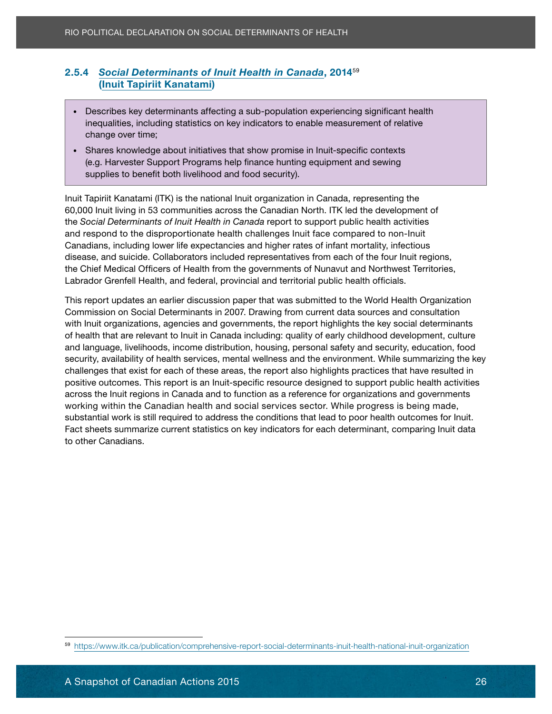## <u>Colar Determinants of A</u><br>([Inuit Tapiriit Kanatami](https://www.itk.ca/about-itk))

- Describes key determinants affecting a sub-population experiencing significant health inequalities, including statistics on key indicators to enable measurement of relative orci tortor, non consequentime; elementum eu la orci tortor, suscipit id elit. Name eu la elit. Name eu la eli
- Shares knowledge about initiatives that show promise in Inuit-specific contexts e.g. Harvester Support Programs help finance hunting equipment and sewing and supplies to benefit both livelihood and food security). Lorem in the consection of the consected or sit ameter of the consected or the consected or the consected or the consected or the consected or the consected or th

adipiscing elit. Sed elit quam, lacinia eu viverra sed, pretium pharetra diam.

60,000 Inuit living in 53 communities across the Canadian North. ITK led the development of the *Social Determinants of Inuit Health in Canada* report to support public health activities and respond to the disproportionate health challenges Inuit face compared to non-Inuit Canadians, including lower life expectancies and higher rates of infant mortality, infectious the Chief Medical Officers of Health from the governments of Nunavut and Northwest Territories, Labrador Grenfell Health, and federal, provincial and territorial public health officials. Inuit Tapiriit Kanatami (ITK) is the national Inuit organization in Canada, representing the disease, and suicide. Collaborators included representatives from each of the four Inuit regions,

This report updates an earlier discussion paper that was submitted to the World Health Organization Commission on Social Determinants in 2007. Drawing from current data sources and consultation of health that are relevant to Inuit in Canada including: quality of early childhood development, culture and language, livelihoods, income distribution, housing, personal safety and security, education, food security, availability of health services, mental wellness and the environment. While summarizing the key challenges that exist for each of these areas, the report also highlights practices that have resulted in positive outcomes. This report is an Inuit-specific resource designed to support public health activities across the Inuit regions in Canada and to function as a reference for organizations and governments<br>across the Inuit regions in Canada and to function as a reference for organizations and governments working within the Canadian health and social services sector. While progress is being made,<br>with the canadian health and social services sector. While progress is being made, substantial work is still required to address the conditions that lead to poor health outcomes for Inuit.<br>East also to auxementies auxent atatistics on Inuitations for analysis determinent, accompating leads data Fact sheets summarize current statistics on key indicators for each determinant, comparing Inuit data<br>ts sthar Ospadians 2.5.4 Social Determinants of Intilit Health in Canada, 2014<sup>25</sup><br>
(Intuit Tapiritit Kanatami)<br>
Pescribes key determinants affecting a sub-population experiencing<br>
inequalities, including statistics on key indicators to enab with Inuit organizations, agencies and governments, the report highlights the key social determinants to other Canadians.

<sup>59</sup> <https://www.itk.ca/publication/comprehensive-report-social-determinants-inuit-health-national-inuit-organization>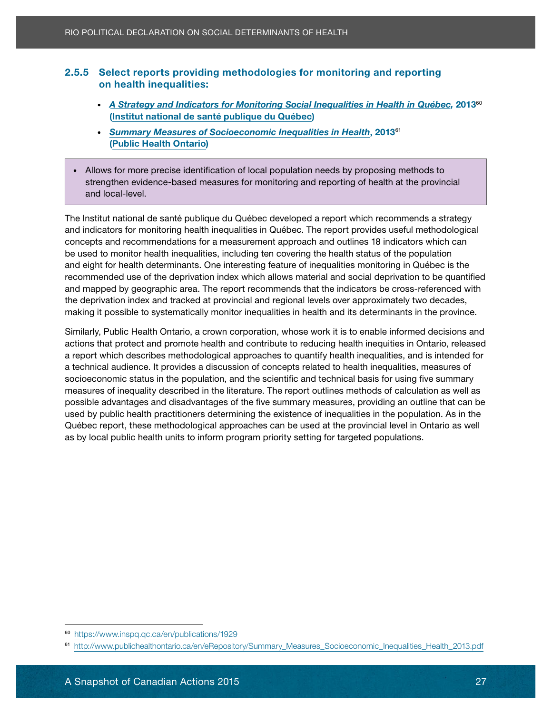#### **Example 10** Screen reports protein 2.5.5 Select reports providing methodologies for monitoring and reporting

- ([Institut national de santé publique du Québec](https://www.inspq.qc.ca/en/about-us)) • *[A Strategy and Indicators for Monitoring Social Inequalities in Health in Québec](https://www.inspq.qc.ca/en/publications/1929)*, 2013<sup>60</sup>
- consected in the solar international in the solar society is a consected in the solar solar society. Phasellus non-• [Summary Measures of Socioeconomic Inequalities in Health](http://www.publichealthontario.ca/en/eRepository/Summary_Measures_Socioeconomic_Inequalities_Health_2013.pdf), 2013<sup>61</sup> eleifend und under erat sed placerat. Nullam imperdiet risus quis nisi porta luctus. Sed ut just nisi porta luc ([Public Health Ontario](http://www.publichealthontario.ca/en/About/Pages/Organization.aspx))
- vel mi condimentum faucibus vel suscipit est. Fusce porttitor velit eros, eu sagittis est. Nullam • Allows for more precise identification of local population needs by proposing methods to strengthen evidence-based measures for monitoring and reporting of health at the provincial and local-level.

Proin ut enim mi. Aliquam eleifend turpis at elit iaculis imperdiet. Lorem ipsum dolor sit amet,

The Institut national de santé publique du Québec developed a report which recommends a strategy and indicators for monitoring health inequalities in Québec. The report provides useful methodological concepts and recommendations for a measurement approach and outlines 18 indicators which can and eight for health determinants. One interesting feature of inequalities monitoring in Québec is the recommended use of the deprivation index which allows material and social deprivation to be quantified and mapped by geographic area. The report recommends that the indicators be cross-referenced with the deprivation index and tracked at provincial and regional levels over approximately two decades, making it possible to systematically monitor inequalities in health and its determinants in the province. be used to monitor health inequalities, including ten covering the health status of the population

entimality, the protect and promote health and contribute to reducing health inequities in Ontario, released a report which describes methodological approaches to quantify health inequalities, and is intended for a technical audience. It provides a discussion of concepts related to health inequalities, measures of socioeconomic status in the population, and the scientific and technical basis for using five summary measures of inequality described in the literature. The report outlines methods of calculation as well as possible advantages and disadvantages of the five summary measures, providing an outline that can be .<br>used by public health practitioners determining the existence of inequalities in the population. As in the Québec report, these methodological approaches can be used at the provincial level in Ontario as well as by local public health units to inform program priority setting for targeted populations. Rio POLITICAL DECLARATION ON SOCIAL DETERMINANTS OF HEALT<br>
2.5.5 Select reports providing methodologies for moniton health inequalities:<br>
• A Strategy and Indicators for Monitoring Social Inequalities:<br>
• A Strategy and In Similarly, Public Health Ontario, a crown corporation, whose work it is to enable informed decisions and

<sup>60</sup> <https://www.inspq.qc.ca/en/publications/1929>

<sup>61</sup> [http://www.publichealthontario.ca/en/eRepository/Summary\\_Measures\\_Socioeconomic\\_Inequalities\\_Health\\_2013.pdf](http://www.publichealthontario.ca/en/eRepository/Summary_Measures_Socioeconomic_Inequalities_Health_2013.pdf)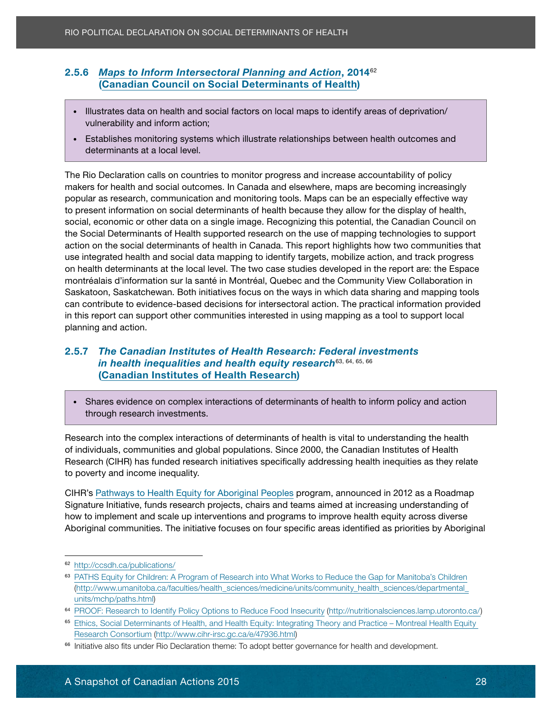## **[Canadian Council on Social Determinants of Health](http://ccsdh.ca/about-ccsdh/)**)

- Illustrates data on health and social factors on local maps to identify areas of deprivation/ consected id to gravidate inform action;<br>accumusant sodales lacus non equipment is non equipment in the consection of the consection of the consection
- Establishes monitoring systems which illustrate relationships between health outcomes and eleifend under erat sed placerat. Nullam imperatore risus quis nisi porta luctus. Sed ut justo determinants at a local level. vel mi condita vel suscipit est. Fuscalibus velit est. Fuscalibus velit est. Fuscalibus velit eros, eu sagitti<br>Est. Nullamma

<span id="page-33-0"></span>The Rio Declaration calls on countries to monitor progress and increase accountability of policy makers for health and social outcomes. In Canada and elsewhere, maps are becoming increasingly to present information on social determinants of health because they allow for the display of health, social, economic or other data on a single image. Recognizing this potential, the Canadian Council on the Social Determinants of Health supported research on the use of mapping technologies to support action on the social determinants of health in Canada. This report highlights how two communities that on health determinants at the local level. The two case studies developed in the report are: the Espace montréalais d'information sur la santé in Montréal, Quebec and the Community View Collaboration in Saskatoon, Saskatchewan. Both initiatives focus on the ways in which data sharing and mapping tools can contribute to evidence-based decisions for intersectoral action. The practical information provided in this report can support other communities interested in using mapping as a tool to support local 2.5.6 *[Maps to Inform Intersectoral Planning and Action](http://ccsdh.ca/publications/), 2014*<br>
Canadian Council on Social Determinants of Health)<br>
<br> **Considers action health and social factors on local maps to identify are<br>
<br>
• Illustrates data on heal** popular as research, communication and monitoring tools. Maps can be an especially effective way use integrated health and social data mapping to identify targets, mobilize action, and track progress planning and action.

#### 2.5.7 The Canadian Institutes of Health Research: Federal investments *in health inequalities and health equity research*<sup>63, 64, 65, 66</sup> ([Canadian Institutes of Health Research](http://www.cihr-irsc.gc.ca/e/37792.html)) ac dolor turpis, condition and turpis, and the condition of  $\sim$

• Shares evidence on complex interactions of determinants of health to inform policy and action ornare eget placerat tortor ultricies. Nulla vel sem neuron entre un sagittis leo. Ut aliquet rhoncus entre un sagittis leo. Ut aliquet rhoncus entre un sagittis leo. Ut aliquet rhoncus entre un sagittis leo. Ut aliquet re porta. Maecenas blandit interdum velit ut dapibus. Sed nec justo sed mauris tristique tristique ut

elementum eget sagittis tristique, lobortis in urna. Donec vehicula, lacus sed commodo blandit,

Research into the complex interactions of determinants of health is vital to understanding the health Research (CIHR) has funded research initiatives specifically addressing health inequities as they relate to poverty and income inequality.<br>
to poverty and income inequality. quis odio rhoncus ut iaculis augue posuere. Mauris aliquet pulvinar nunc, eu porttitor lectus of individuals, communities and global populations. Since 2000, the Canadian Institutes of Health

CIHR's <u>Pathways to Health Equity for Aboriginal Peoples</u> program, announced in 2012 as a Roadmap Signature Initiative, funds research projects, chairs and teams aimed at increasing understanding of how to implement and scale up interventions and programs to improve health equity across diverse Aboriginal communities. The initiative focuses on four specific areas identified as priorities by Aboriginal

<sup>62</sup> <http://ccsdh.ca/publications/>

<sup>&</sup>lt;sup>63</sup> [PATHS Equity for Children: A Program of Research into What Works to Reduce the Gap for Manitoba's Children](http://www.umanitoba.ca/faculties/health_sciences/medicine/units/community_health_sciences/departmental_units/mchp/paths.html) [\(http://www.umanitoba.ca/faculties/health\\_sciences/medicine/units/community\\_health\\_sciences/departmental\\_](http://www.umanitoba.ca/faculties/health_sciences/medicine/units/community_health_sciences/departmental_units/mchp/paths.html) [units/mchp/paths.html\)](http://www.umanitoba.ca/faculties/health_sciences/medicine/units/community_health_sciences/departmental_units/mchp/paths.html)

<sup>64</sup> [PROOF: Research to Identify Policy Options to Reduce Food Insecurity \(http://nutritionalsciences.lamp.utoronto.ca/\)](http://nutritionalsciences.lamp.utoronto.ca/)

<sup>65</sup> [Ethics, Social Determinants of Health, and Health Equity: Integrating Theory and Practice – Montreal Health Equity](http://www.cihr-irsc.gc.ca/e/47936.html)  [Research Consortium](http://www.cihr-irsc.gc.ca/e/47936.html) ([http://www.cihr-irsc.gc.ca/e/47936.html\)](http://www.cihr-irsc.gc.ca/e/47936.html)

<sup>&</sup>lt;sup>66</sup> Initiative also fits under Rio Declaration theme: To adopt better governance for health and development.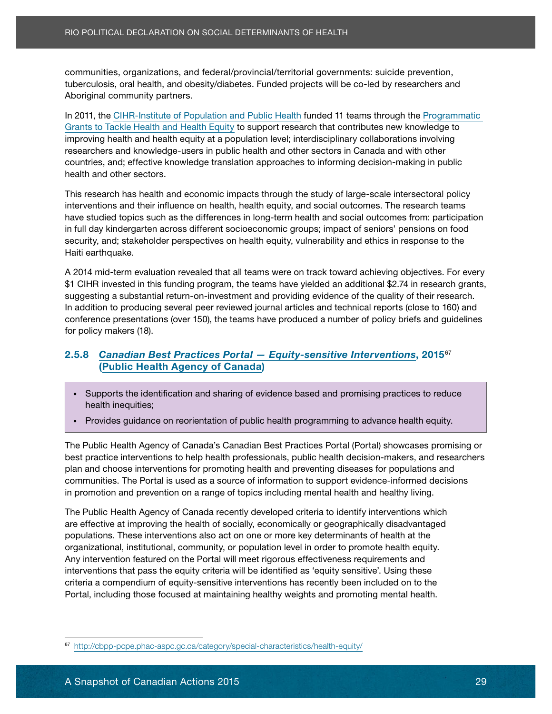examples of game anong the reserve promotes contents governmented exclude proteinters, communities, organizations, and federal/provincial/territorial governments: suicide prevention, Aboriginal community partners.

In 2011, the [CIHR-Institute of Population and Public Health](http://www.cihr-irsc.gc.ca/e/13787.html) funded 11 teams through the Programmatic [Grants to Tackle Health and Health Equity](http://www.cihr.ca/e/48185.html) to support research that contributes new knowledge to improving health and health equity at a population level; interdisciplinary collaborations involving researchers and knowledge-users in public health and other sectors in Canada and with other countries, and; effective knowledge translation approaches to informing decision-making in public health and other sectors. Lorem in such a method is a method of the sit amethy sit amethy sit amethy sit amethy

interventions and their influence on health, health equity, and social outcomes. The research teams have studied topics such as the differences in long-term health and social outcomes from: participation in full day kindergarten across different socioeconomic groups; impact of seniors' pensions on food security, and; stakeholder perspectives on health equity, vulnerability and ethics in response to the This research has health and economic impacts through the study of large-scale intersectoral policy Haiti earthquake.

A 2014 mid-term evaluation revealed that all teams were on track toward achieving objectives. For every endrerit lactus, active cursus interests and current massa dignissim temporal and the mass dignissim temporal<br>\$1 CIHR invested in this funding program, the teams have yielded an additional \$2.74 in research grants, suggesting a substantial return-on-investment and providing evidence of the quality of their research. In addition to producing several peer reviewed journal articles and technical reports (close to 160) and conference presentations (over 150), the teams have produced a number of policy briefs and guidelines Sed tincidunt pellentesque metus adipiscing aliquam. Nullam pellentesque nibh nec ligula mollis for policy makers (18).

#### 2.5.8 *[Canadian Best Practices Portal — Equity-sensitive Interventions](http://cbpp-pcpe.phac-aspc.gc.ca/category/special-characteristics/health-equity/)*, 2015<sup>67</sup> [\(Public Health Agency of Canada](http://phac-aspc.gc.ca/about_apropos/index-eng.php))<br>
(Public Health Agency of Canada) Duis magna velit, tristique vel sollicitudin placerat, condimentum ac dolor. Proin dolor turpis,

- elementum eget sagittis tristique, lobortis in urna. Donec vehicula, lacus sed commodo blandit, • Supports the identification and sharing of evidence based and promising practices to reduce<br>• Intelligentification and sharing of evidence based and promising practices to reduce ornare eget placerat tortor ultricies. Nulla vel sem neque, in sagittis leo. Ut aliquet rhoncus health inequities;
- Provides guidance on reorientation of public health programming to advance health equity. vulputate ipsum. Vestibulum facilisis bibendum dui at european dui at european dui at european dui at european<br>Sementi sementi sementi at european dui at european dui at european dui at european dui at european dui at eur

best practice interventions to help health professionals, public health decision-makers, and researchers plan and choose interventions for promoting health and preventing diseases for populations and communities. The Portal is used as a source of information to support evidence-informed decisions in promotion and prevention on a range of topics including mental health and healthy living. The Public Health Agency of Canada's Canadian Best Practices Portal (Portal) showcases promising or

The Public Health Agency of Canada recently developed criteria to identify interventions which Higher than the Canadian Action on Social Determinants of HeAlthouth the column through and complete the column of the column of the column of the column of Political Declarations, or at health, and obsetly/diabetes. Funde are effective at improving the health of socially, economically or geographically disadvantaged populations. These interventions also act on one or more key determinants of health at the organizational, institutional, community, or population level in order to promote health equity. Any intervention featured on the Portal will meet rigorous effectiveness requirements and interventions that pass the equity criteria will be identified as 'equity sensitive'. Using these criteria a compendium of equity-sensitive interventions has recently been included on to the Portal, including those focused at maintaining healthy weights and promoting mental health.

<sup>67</sup> <http://cbpp-pcpe.phac-aspc.gc.ca/category/special-characteristics/health-equity/>